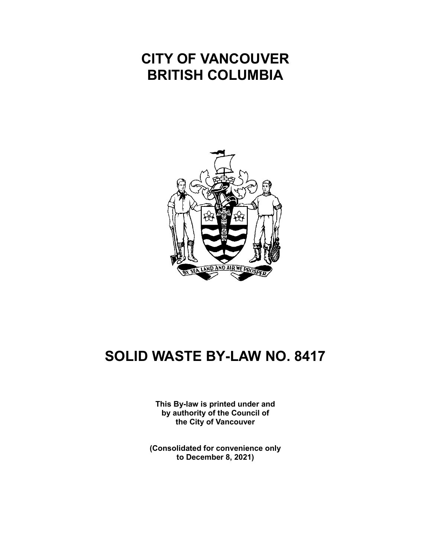# **CITY OF VANCOUVER BRITISH COLUMBIA**



# **SOLID WASTE BY-LAW NO. 8417**

**This By-law is printed under and by authority of the Council of the City of Vancouver**

**(Consolidated for convenience only to December 8, 2021)**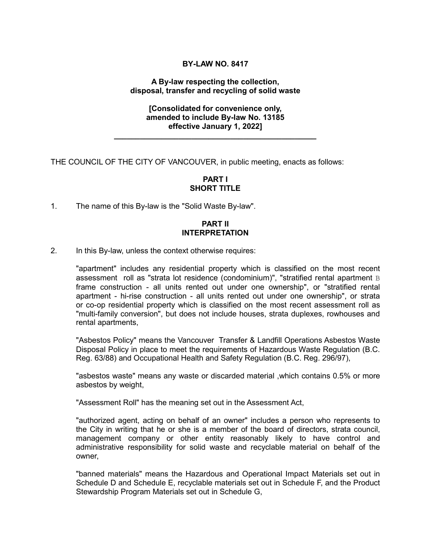## **BY-LAW NO. 8417**

#### **A By-law respecting the collection, disposal, transfer and recycling of solid waste**

#### **[Consolidated for convenience only, amended to include By-law No. 13185 effective January 1, 2022]**

**\_\_\_\_\_\_\_\_\_\_\_\_\_\_\_\_\_\_\_\_\_\_\_\_\_\_\_\_\_\_\_\_\_\_\_\_\_\_\_\_\_\_\_\_\_\_\_**

THE COUNCIL OF THE CITY OF VANCOUVER, in public meeting, enacts as follows:

#### **PART I SHORT TITLE**

1. The name of this By-law is the "Solid Waste By-law".

## **PART II INTERPRETATION**

2. In this By-law, unless the context otherwise requires:

"apartment" includes any residential property which is classified on the most recent assessment roll as "strata lot residence (condominium)", "stratified rental apartment B frame construction - all units rented out under one ownership", or "stratified rental apartment - hi-rise construction - all units rented out under one ownership", or strata or co-op residential property which is classified on the most recent assessment roll as "multi-family conversion", but does not include houses, strata duplexes, rowhouses and rental apartments,

"Asbestos Policy" means the Vancouver Transfer & Landfill Operations Asbestos Waste Disposal Policy in place to meet the requirements of Hazardous Waste Regulation (B.C. Reg. 63/88) and Occupational Health and Safety Regulation (B.C. Reg. 296/97),

"asbestos waste" means any waste or discarded material ,which contains 0.5% or more asbestos by weight,

"Assessment Roll" has the meaning set out in the Assessment Act,

"authorized agent, acting on behalf of an owner" includes a person who represents to the City in writing that he or she is a member of the board of directors, strata council, management company or other entity reasonably likely to have control and administrative responsibility for solid waste and recyclable material on behalf of the owner,

"banned materials" means the Hazardous and Operational Impact Materials set out in Schedule D and Schedule E, recyclable materials set out in Schedule F, and the Product Stewardship Program Materials set out in Schedule G,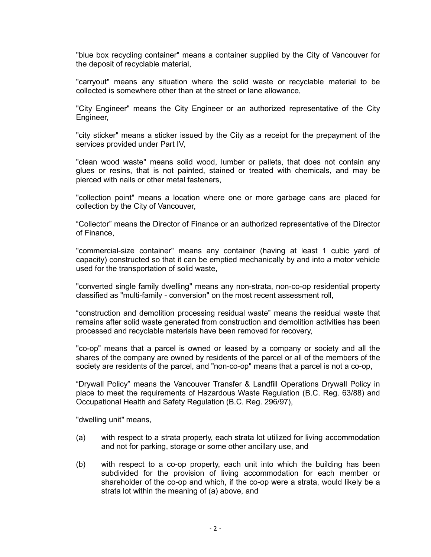"blue box recycling container" means a container supplied by the City of Vancouver for the deposit of recyclable material,

"carryout" means any situation where the solid waste or recyclable material to be collected is somewhere other than at the street or lane allowance,

"City Engineer" means the City Engineer or an authorized representative of the City Engineer,

"city sticker" means a sticker issued by the City as a receipt for the prepayment of the services provided under Part IV,

"clean wood waste" means solid wood, lumber or pallets, that does not contain any glues or resins, that is not painted, stained or treated with chemicals, and may be pierced with nails or other metal fasteners,

"collection point" means a location where one or more garbage cans are placed for collection by the City of Vancouver,

"Collector" means the Director of Finance or an authorized representative of the Director of Finance,

"commercial-size container" means any container (having at least 1 cubic yard of capacity) constructed so that it can be emptied mechanically by and into a motor vehicle used for the transportation of solid waste,

"converted single family dwelling" means any non-strata, non-co-op residential property classified as "multi-family - conversion" on the most recent assessment roll,

"construction and demolition processing residual waste" means the residual waste that remains after solid waste generated from construction and demolition activities has been processed and recyclable materials have been removed for recovery,

"co-op" means that a parcel is owned or leased by a company or society and all the shares of the company are owned by residents of the parcel or all of the members of the society are residents of the parcel, and "non-co-op" means that a parcel is not a co-op,

"Drywall Policy" means the Vancouver Transfer & Landfill Operations Drywall Policy in place to meet the requirements of Hazardous Waste Regulation (B.C. Reg. 63/88) and Occupational Health and Safety Regulation (B.C. Reg. 296/97),

"dwelling unit" means,

- (a) with respect to a strata property, each strata lot utilized for living accommodation and not for parking, storage or some other ancillary use, and
- (b) with respect to a co-op property, each unit into which the building has been subdivided for the provision of living accommodation for each member or shareholder of the co-op and which, if the co-op were a strata, would likely be a strata lot within the meaning of (a) above, and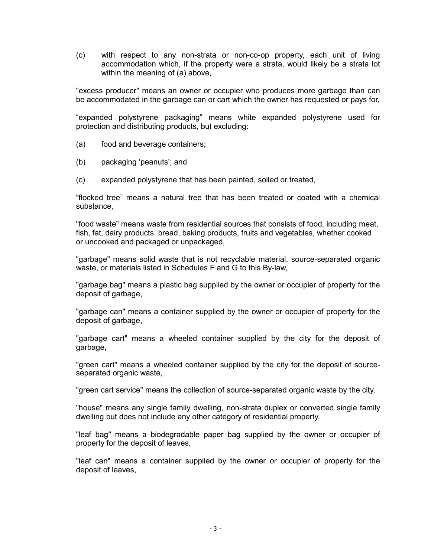(c) with respect to any non-strata or non-co-op property, each unit of living accommodation which, if the property were a strata, would likely be a strata lot within the meaning of (a) above,

"excess producer" means an owner or occupier who produces more garbage than can be accommodated in the garbage can or cart which the owner has requested or pays for,

"expanded polystyrene packaging" means white expanded polystyrene used for protection and distributing products, but excluding:

- (a) food and beverage containers;
- (b) packaging 'peanuts'; and
- (c) expanded polystyrene that has been painted, soiled or treated,

"flocked tree" means a natural tree that has been treated or coated with a chemical substance,

"food waste" means waste from residential sources that consists of food, including meat, fish, fat, dairy products, bread, baking products, fruits and vegetables, whether cooked or uncooked and packaged or unpackaged,

"garbage" means solid waste that is not recyclable material, source-separated organic waste, or materials listed in Schedules F and G to this By-law,

"garbage bag" means a plastic bag supplied by the owner or occupier of property for the deposit of garbage,

"garbage can" means a container supplied by the owner or occupier of property for the deposit of garbage,

"garbage cart" means a wheeled container supplied by the city for the deposit of garbage,

"green cart" means a wheeled container supplied by the city for the deposit of sourceseparated organic waste,

"green cart service" means the collection of source-separated organic waste by the city,

"house" means any single family dwelling, non-strata duplex or converted single family dwelling but does not include any other category of residential property,

"leaf bag" means a biodegradable paper bag supplied by the owner or occupier of property for the deposit of leaves,

"leaf can" means a container supplied by the owner or occupier of property for the deposit of leaves,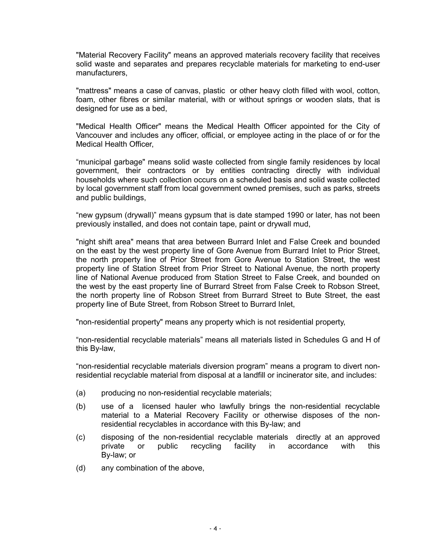"Material Recovery Facility" means an approved materials recovery facility that receives solid waste and separates and prepares recyclable materials for marketing to end-user manufacturers,

"mattress" means a case of canvas, plastic or other heavy cloth filled with wool, cotton, foam, other fibres or similar material, with or without springs or wooden slats, that is designed for use as a bed,

"Medical Health Officer" means the Medical Health Officer appointed for the City of Vancouver and includes any officer, official, or employee acting in the place of or for the Medical Health Officer,

"municipal garbage" means solid waste collected from single family residences by local government, their contractors or by entities contracting directly with individual households where such collection occurs on a scheduled basis and solid waste collected by local government staff from local government owned premises, such as parks, streets and public buildings,

"new gypsum (drywall)" means gypsum that is date stamped 1990 or later, has not been previously installed, and does not contain tape, paint or drywall mud,

"night shift area" means that area between Burrard Inlet and False Creek and bounded on the east by the west property line of Gore Avenue from Burrard Inlet to Prior Street, the north property line of Prior Street from Gore Avenue to Station Street, the west property line of Station Street from Prior Street to National Avenue, the north property line of National Avenue produced from Station Street to False Creek, and bounded on the west by the east property line of Burrard Street from False Creek to Robson Street, the north property line of Robson Street from Burrard Street to Bute Street, the east property line of Bute Street, from Robson Street to Burrard Inlet,

"non-residential property" means any property which is not residential property,

"non-residential recyclable materials" means all materials listed in Schedules G and H of this By-law,

"non-residential recyclable materials diversion program" means a program to divert nonresidential recyclable material from disposal at a landfill or incinerator site, and includes:

- (a) producing no non-residential recyclable materials;
- (b) use of a licensed hauler who lawfully brings the non-residential recyclable material to a Material Recovery Facility or otherwise disposes of the nonresidential recyclables in accordance with this By-law; and
- (c) disposing of the non-residential recyclable materials directly at an approved private or public recycling facility in accordance with this By-law; or
- (d) any combination of the above,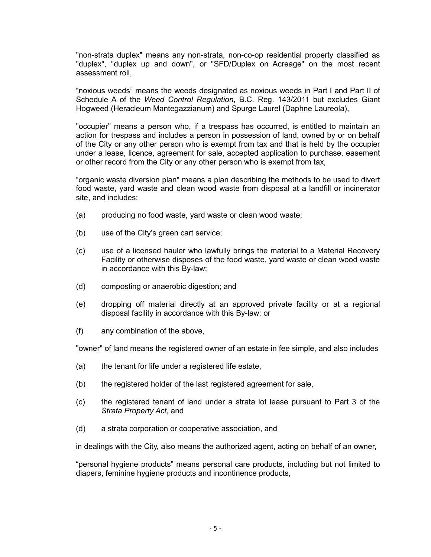"non-strata duplex" means any non-strata, non-co-op residential property classified as "duplex", "duplex up and down", or "SFD/Duplex on Acreage" on the most recent assessment roll,

"noxious weeds" means the weeds designated as noxious weeds in Part I and Part II of Schedule A of the *Weed Control Regulation*, B.C. Reg. 143/2011 but excludes Giant Hogweed (Heracleum Mantegazzianum) and Spurge Laurel (Daphne Laureola),

"occupier" means a person who, if a trespass has occurred, is entitled to maintain an action for trespass and includes a person in possession of land, owned by or on behalf of the City or any other person who is exempt from tax and that is held by the occupier under a lease, licence, agreement for sale, accepted application to purchase, easement or other record from the City or any other person who is exempt from tax,

"organic waste diversion plan" means a plan describing the methods to be used to divert food waste, yard waste and clean wood waste from disposal at a landfill or incinerator site, and includes:

- (a) producing no food waste, yard waste or clean wood waste;
- (b) use of the City's green cart service;
- (c) use of a licensed hauler who lawfully brings the material to a Material Recovery Facility or otherwise disposes of the food waste, yard waste or clean wood waste in accordance with this By-law;
- (d) composting or anaerobic digestion; and
- (e) dropping off material directly at an approved private facility or at a regional disposal facility in accordance with this By-law; or
- (f) any combination of the above,

"owner" of land means the registered owner of an estate in fee simple, and also includes

- (a) the tenant for life under a registered life estate,
- (b) the registered holder of the last registered agreement for sale,
- (c) the registered tenant of land under a strata lot lease pursuant to Part 3 of the *Strata Property Act*, and
- (d) a strata corporation or cooperative association, and

in dealings with the City, also means the authorized agent, acting on behalf of an owner,

"personal hygiene products" means personal care products, including but not limited to diapers, feminine hygiene products and incontinence products,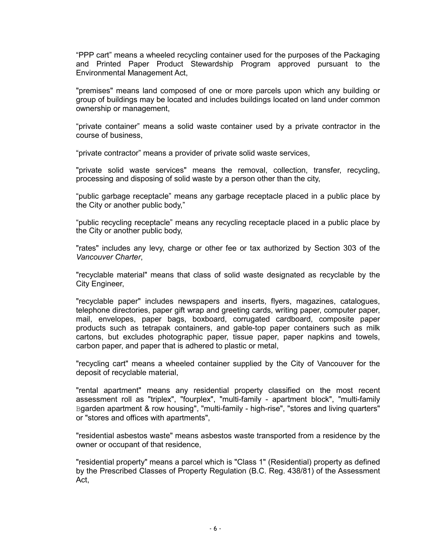"PPP cart" means a wheeled recycling container used for the purposes of the Packaging and Printed Paper Product Stewardship Program approved pursuant to the Environmental Management Act,

"premises" means land composed of one or more parcels upon which any building or group of buildings may be located and includes buildings located on land under common ownership or management,

"private container" means a solid waste container used by a private contractor in the course of business,

"private contractor" means a provider of private solid waste services,

"private solid waste services" means the removal, collection, transfer, recycling, processing and disposing of solid waste by a person other than the city,

"public garbage receptacle" means any garbage receptacle placed in a public place by the City or another public body,"

"public recycling receptacle" means any recycling receptacle placed in a public place by the City or another public body,

"rates" includes any levy, charge or other fee or tax authorized by Section 303 of the *Vancouver Charter*,

"recyclable material" means that class of solid waste designated as recyclable by the City Engineer,

"recyclable paper" includes newspapers and inserts, flyers, magazines, catalogues, telephone directories, paper gift wrap and greeting cards, writing paper, computer paper, mail, envelopes, paper bags, boxboard, corrugated cardboard, composite paper products such as tetrapak containers, and gable-top paper containers such as milk cartons, but excludes photographic paper, tissue paper, paper napkins and towels, carbon paper, and paper that is adhered to plastic or metal,

"recycling cart" means a wheeled container supplied by the City of Vancouver for the deposit of recyclable material,

"rental apartment" means any residential property classified on the most recent assessment roll as "triplex", "fourplex", "multi-family - apartment block", "multi-family Bgarden apartment & row housing", "multi-family - high-rise", "stores and living quarters" or "stores and offices with apartments",

"residential asbestos waste" means asbestos waste transported from a residence by the owner or occupant of that residence,

"residential property" means a parcel which is "Class 1" (Residential) property as defined by the Prescribed Classes of Property Regulation (B.C. Reg. 438/81) of the Assessment Act,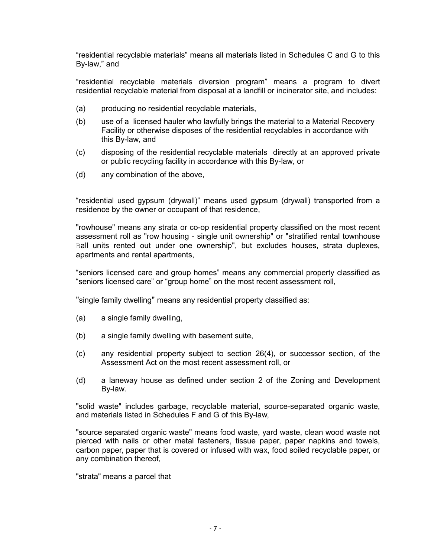"residential recyclable materials" means all materials listed in Schedules C and G to this By-law," and

"residential recyclable materials diversion program" means a program to divert residential recyclable material from disposal at a landfill or incinerator site, and includes:

- (a) producing no residential recyclable materials,
- (b) use of a licensed hauler who lawfully brings the material to a Material Recovery Facility or otherwise disposes of the residential recyclables in accordance with this By-law, and
- (c) disposing of the residential recyclable materials directly at an approved private or public recycling facility in accordance with this By-law, or
- (d) any combination of the above,

"residential used gypsum (drywall)" means used gypsum (drywall) transported from a residence by the owner or occupant of that residence,

"rowhouse" means any strata or co-op residential property classified on the most recent assessment roll as "row housing - single unit ownership" or "stratified rental townhouse Ball units rented out under one ownership", but excludes houses, strata duplexes, apartments and rental apartments,

"seniors licensed care and group homes" means any commercial property classified as "seniors licensed care" or "group home" on the most recent assessment roll,

"single family dwelling" means any residential property classified as:

- (a) a single family dwelling,
- (b) a single family dwelling with basement suite,
- (c) any residential property subject to section 26(4), or successor section, of the Assessment Act on the most recent assessment roll, or
- (d) a laneway house as defined under section 2 of the Zoning and Development By-law.

"solid waste" includes garbage, recyclable material, source-separated organic waste, and materials listed in Schedules F and G of this By-law,

"source separated organic waste" means food waste, yard waste, clean wood waste not pierced with nails or other metal fasteners, tissue paper, paper napkins and towels, carbon paper, paper that is covered or infused with wax, food soiled recyclable paper, or any combination thereof,

"strata" means a parcel that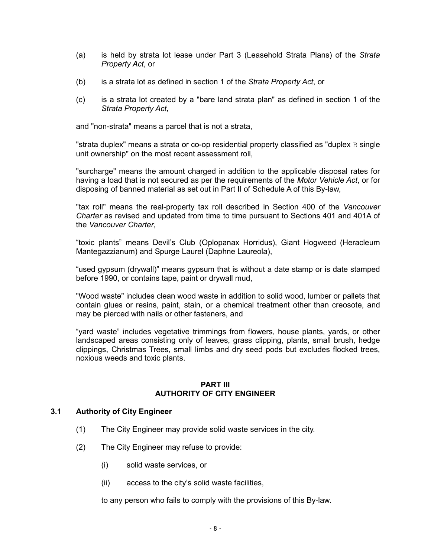- (a) is held by strata lot lease under Part 3 (Leasehold Strata Plans) of the *Strata Property Act*, or
- (b) is a strata lot as defined in section 1 of the *Strata Property Act*, or
- (c) is a strata lot created by a "bare land strata plan" as defined in section 1 of the *Strata Property Act*,

and "non-strata" means a parcel that is not a strata,

"strata duplex" means a strata or co-op residential property classified as "duplex  $B$  single unit ownership" on the most recent assessment roll,

"surcharge" means the amount charged in addition to the applicable disposal rates for having a load that is not secured as per the requirements of the *Motor Vehicle Act*, or for disposing of banned material as set out in Part II of Schedule A of this By-law,

"tax roll" means the real-property tax roll described in Section 400 of the *Vancouver Charter* as revised and updated from time to time pursuant to Sections 401 and 401A of the *Vancouver Charter*,

"toxic plants" means Devil's Club (Oplopanax Horridus), Giant Hogweed (Heracleum Mantegazzianum) and Spurge Laurel (Daphne Laureola),

"used gypsum (drywall)" means gypsum that is without a date stamp or is date stamped before 1990, or contains tape, paint or drywall mud,

"Wood waste" includes clean wood waste in addition to solid wood, lumber or pallets that contain glues or resins, paint, stain, or a chemical treatment other than creosote, and may be pierced with nails or other fasteners, and

"yard waste" includes vegetative trimmings from flowers, house plants, yards, or other landscaped areas consisting only of leaves, grass clipping, plants, small brush, hedge clippings, Christmas Trees, small limbs and dry seed pods but excludes flocked trees, noxious weeds and toxic plants.

#### **PART III AUTHORITY OF CITY ENGINEER**

## **3.1 Authority of City Engineer**

- (1) The City Engineer may provide solid waste services in the city.
- (2) The City Engineer may refuse to provide:
	- (i) solid waste services, or
	- (ii) access to the city's solid waste facilities,

to any person who fails to comply with the provisions of this By-law.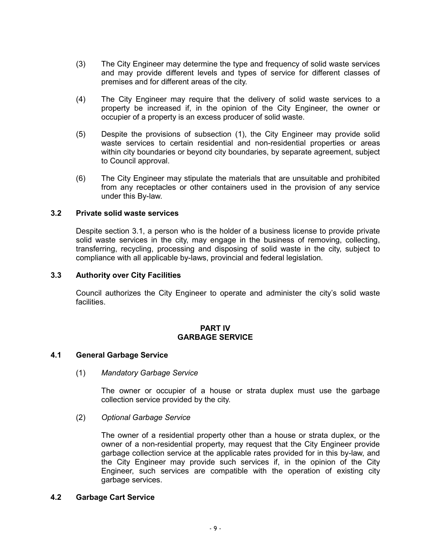- (3) The City Engineer may determine the type and frequency of solid waste services and may provide different levels and types of service for different classes of premises and for different areas of the city.
- (4) The City Engineer may require that the delivery of solid waste services to a property be increased if, in the opinion of the City Engineer, the owner or occupier of a property is an excess producer of solid waste.
- (5) Despite the provisions of subsection (1), the City Engineer may provide solid waste services to certain residential and non-residential properties or areas within city boundaries or beyond city boundaries, by separate agreement, subject to Council approval.
- (6) The City Engineer may stipulate the materials that are unsuitable and prohibited from any receptacles or other containers used in the provision of any service under this By-law.

## **3.2 Private solid waste services**

Despite section 3.1, a person who is the holder of a business license to provide private solid waste services in the city, may engage in the business of removing, collecting, transferring, recycling, processing and disposing of solid waste in the city, subject to compliance with all applicable by-laws, provincial and federal legislation.

#### **3.3 Authority over City Facilities**

Council authorizes the City Engineer to operate and administer the city's solid waste facilities.

#### **PART IV GARBAGE SERVICE**

#### **4.1 General Garbage Service**

(1) *Mandatory Garbage Service*

The owner or occupier of a house or strata duplex must use the garbage collection service provided by the city.

#### (2) *Optional Garbage Service*

The owner of a residential property other than a house or strata duplex, or the owner of a non-residential property, may request that the City Engineer provide garbage collection service at the applicable rates provided for in this by-law, and the City Engineer may provide such services if, in the opinion of the City Engineer, such services are compatible with the operation of existing city garbage services.

## **4.2 Garbage Cart Service**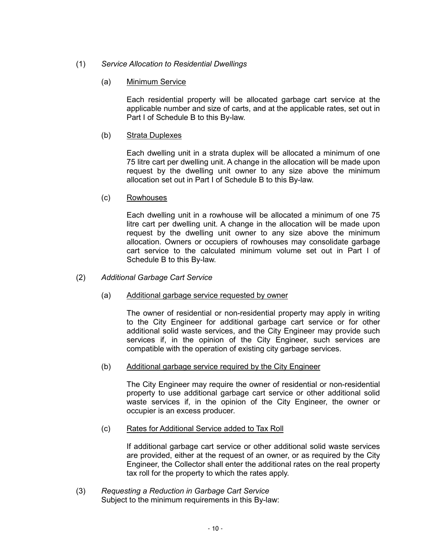# (1) *Service Allocation to Residential Dwellings*

(a) Minimum Service

Each residential property will be allocated garbage cart service at the applicable number and size of carts, and at the applicable rates, set out in Part I of Schedule B to this By-law.

# (b) Strata Duplexes

Each dwelling unit in a strata duplex will be allocated a minimum of one 75 litre cart per dwelling unit. A change in the allocation will be made upon request by the dwelling unit owner to any size above the minimum allocation set out in Part I of Schedule B to this By-law.

(c) Rowhouses

Each dwelling unit in a rowhouse will be allocated a minimum of one 75 litre cart per dwelling unit. A change in the allocation will be made upon request by the dwelling unit owner to any size above the minimum allocation. Owners or occupiers of rowhouses may consolidate garbage cart service to the calculated minimum volume set out in Part I of Schedule B to this By-law.

- (2) *Additional Garbage Cart Service*
	- (a) Additional garbage service requested by owner

The owner of residential or non-residential property may apply in writing to the City Engineer for additional garbage cart service or for other additional solid waste services, and the City Engineer may provide such services if, in the opinion of the City Engineer, such services are compatible with the operation of existing city garbage services.

(b) Additional garbage service required by the City Engineer

The City Engineer may require the owner of residential or non-residential property to use additional garbage cart service or other additional solid waste services if, in the opinion of the City Engineer, the owner or occupier is an excess producer.

(c) Rates for Additional Service added to Tax Roll

If additional garbage cart service or other additional solid waste services are provided, either at the request of an owner, or as required by the City Engineer, the Collector shall enter the additional rates on the real property tax roll for the property to which the rates apply.

(3) *Requesting a Reduction in Garbage Cart Service* Subject to the minimum requirements in this By-law: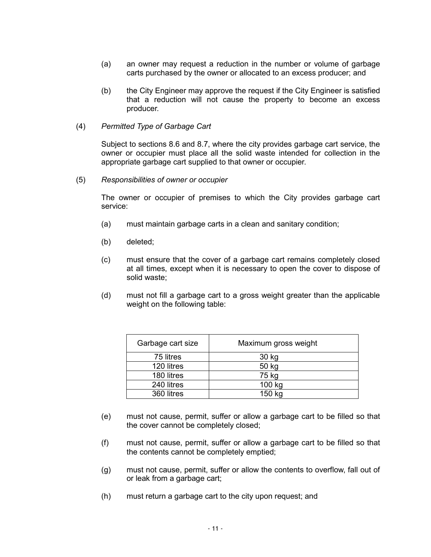- (a) an owner may request a reduction in the number or volume of garbage carts purchased by the owner or allocated to an excess producer; and
- (b) the City Engineer may approve the request if the City Engineer is satisfied that a reduction will not cause the property to become an excess producer.
- (4) *Permitted Type of Garbage Cart*

Subject to sections 8.6 and 8.7, where the city provides garbage cart service, the owner or occupier must place all the solid waste intended for collection in the appropriate garbage cart supplied to that owner or occupier.

(5) *Responsibilities of owner or occupier*

The owner or occupier of premises to which the City provides garbage cart service:

- (a) must maintain garbage carts in a clean and sanitary condition;
- (b) deleted;
- (c) must ensure that the cover of a garbage cart remains completely closed at all times, except when it is necessary to open the cover to dispose of solid waste;
- (d) must not fill a garbage cart to a gross weight greater than the applicable weight on the following table:

| Garbage cart size | Maximum gross weight |
|-------------------|----------------------|
| 75 litres         | 30 kg                |
| 120 litres        | 50 kg                |
| 180 litres        | 75 kg                |
| 240 litres        | 100 kg               |
| 360 litres        | 150 kg               |

- (e) must not cause, permit, suffer or allow a garbage cart to be filled so that the cover cannot be completely closed;
- (f) must not cause, permit, suffer or allow a garbage cart to be filled so that the contents cannot be completely emptied;
- (g) must not cause, permit, suffer or allow the contents to overflow, fall out of or leak from a garbage cart;
- (h) must return a garbage cart to the city upon request; and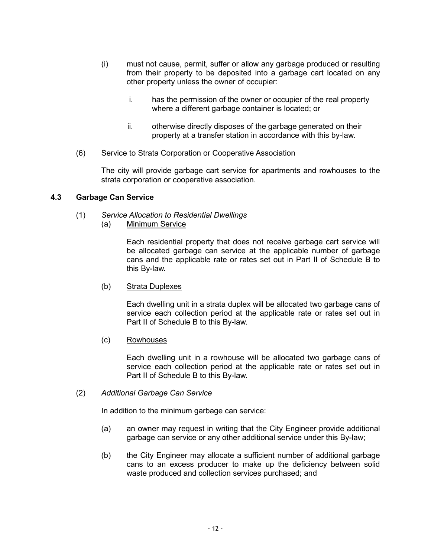- (i) must not cause, permit, suffer or allow any garbage produced or resulting from their property to be deposited into a garbage cart located on any other property unless the owner of occupier:
	- i. has the permission of the owner or occupier of the real property where a different garbage container is located; or
	- ii. otherwise directly disposes of the garbage generated on their property at a transfer station in accordance with this by-law.
- (6) Service to Strata Corporation or Cooperative Association

The city will provide garbage cart service for apartments and rowhouses to the strata corporation or cooperative association.

#### **4.3 Garbage Can Service**

- (1) *Service Allocation to Residential Dwellings*
	- (a) Minimum Service

Each residential property that does not receive garbage cart service will be allocated garbage can service at the applicable number of garbage cans and the applicable rate or rates set out in Part II of Schedule B to this By-law.

(b) Strata Duplexes

Each dwelling unit in a strata duplex will be allocated two garbage cans of service each collection period at the applicable rate or rates set out in Part II of Schedule B to this By-law.

(c) Rowhouses

Each dwelling unit in a rowhouse will be allocated two garbage cans of service each collection period at the applicable rate or rates set out in Part II of Schedule B to this By-law.

(2) *Additional Garbage Can Service*

In addition to the minimum garbage can service:

- (a) an owner may request in writing that the City Engineer provide additional garbage can service or any other additional service under this By-law;
- (b) the City Engineer may allocate a sufficient number of additional garbage cans to an excess producer to make up the deficiency between solid waste produced and collection services purchased; and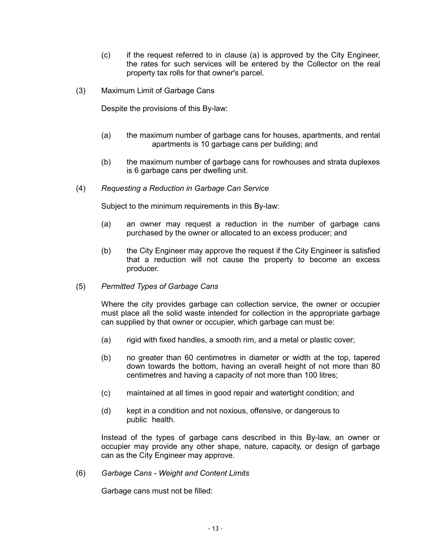- (c) if the request referred to in clause (a) is approved by the City Engineer, the rates for such services will be entered by the Collector on the real property tax rolls for that owner's parcel.
- (3) Maximum Limit of Garbage Cans

Despite the provisions of this By-law:

- (a) the maximum number of garbage cans for houses, apartments, and rental apartments is 10 garbage cans per building; and
- (b) the maximum number of garbage cans for rowhouses and strata duplexes is 6 garbage cans per dwelling unit.
- (4) *Requesting a Reduction in Garbage Can Service*

Subject to the minimum requirements in this By-law:

- (a) an owner may request a reduction in the number of garbage cans purchased by the owner or allocated to an excess producer; and
- (b) the City Engineer may approve the request if the City Engineer is satisfied that a reduction will not cause the property to become an excess producer.
- (5) *Permitted Types of Garbage Cans*

Where the city provides garbage can collection service, the owner or occupier must place all the solid waste intended for collection in the appropriate garbage can supplied by that owner or occupier, which garbage can must be:

- (a) rigid with fixed handles, a smooth rim, and a metal or plastic cover;
- (b) no greater than 60 centimetres in diameter or width at the top, tapered down towards the bottom, having an overall height of not more than 80 centimetres and having a capacity of not more than 100 litres;
- (c) maintained at all times in good repair and watertight condition; and
- (d) kept in a condition and not noxious, offensive, or dangerous to public health.

Instead of the types of garbage cans described in this By-law, an owner or occupier may provide any other shape, nature, capacity, or design of garbage can as the City Engineer may approve.

(6) *Garbage Cans - Weight and Content Limits*

Garbage cans must not be filled: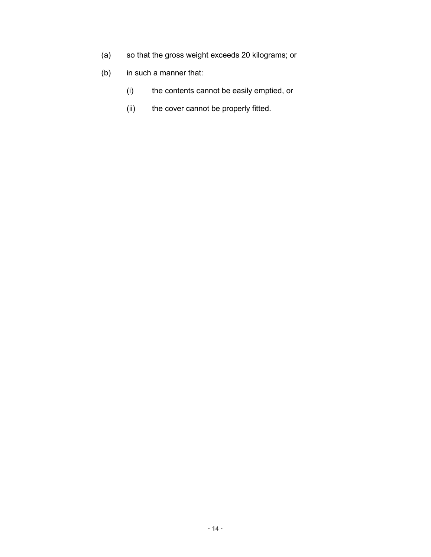- (a) so that the gross weight exceeds 20 kilograms; or
- (b) in such a manner that:
	- (i) the contents cannot be easily emptied, or
	- (ii) the cover cannot be properly fitted.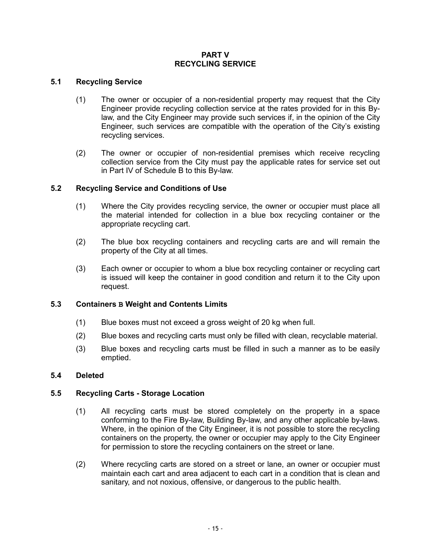## **PART V RECYCLING SERVICE**

# **5.1 Recycling Service**

- (1) The owner or occupier of a non-residential property may request that the City Engineer provide recycling collection service at the rates provided for in this Bylaw, and the City Engineer may provide such services if, in the opinion of the City Engineer, such services are compatible with the operation of the City's existing recycling services.
- (2) The owner or occupier of non-residential premises which receive recycling collection service from the City must pay the applicable rates for service set out in Part IV of Schedule B to this By-law.

## **5.2 Recycling Service and Conditions of Use**

- (1) Where the City provides recycling service, the owner or occupier must place all the material intended for collection in a blue box recycling container or the appropriate recycling cart.
- (2) The blue box recycling containers and recycling carts are and will remain the property of the City at all times.
- (3) Each owner or occupier to whom a blue box recycling container or recycling cart is issued will keep the container in good condition and return it to the City upon request.

## **5.3 Containers B Weight and Contents Limits**

- (1) Blue boxes must not exceed a gross weight of 20 kg when full.
- (2) Blue boxes and recycling carts must only be filled with clean, recyclable material.
- (3) Blue boxes and recycling carts must be filled in such a manner as to be easily emptied.

## **5.4 Deleted**

## **5.5 Recycling Carts - Storage Location**

- (1) All recycling carts must be stored completely on the property in a space conforming to the Fire By-law, Building By-law, and any other applicable by-laws. Where, in the opinion of the City Engineer, it is not possible to store the recycling containers on the property, the owner or occupier may apply to the City Engineer for permission to store the recycling containers on the street or lane.
- (2) Where recycling carts are stored on a street or lane, an owner or occupier must maintain each cart and area adjacent to each cart in a condition that is clean and sanitary, and not noxious, offensive, or dangerous to the public health.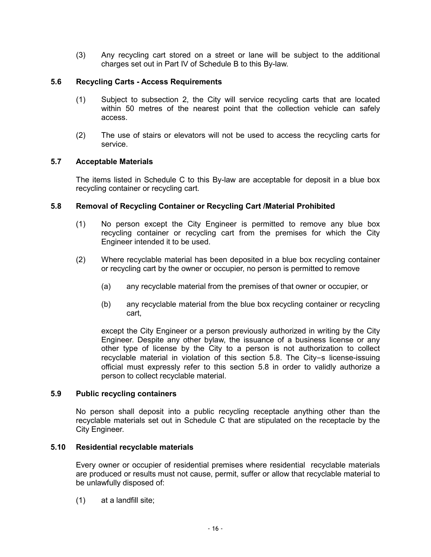(3) Any recycling cart stored on a street or lane will be subject to the additional charges set out in Part IV of Schedule B to this By-law.

# **5.6 Recycling Carts - Access Requirements**

- (1) Subject to subsection 2, the City will service recycling carts that are located within 50 metres of the nearest point that the collection vehicle can safely access.
- (2) The use of stairs or elevators will not be used to access the recycling carts for service.

## **5.7 Acceptable Materials**

The items listed in Schedule C to this By-law are acceptable for deposit in a blue box recycling container or recycling cart.

## **5.8 Removal of Recycling Container or Recycling Cart /Material Prohibited**

- (1) No person except the City Engineer is permitted to remove any blue box recycling container or recycling cart from the premises for which the City Engineer intended it to be used.
- (2) Where recyclable material has been deposited in a blue box recycling container or recycling cart by the owner or occupier, no person is permitted to remove
	- (a) any recyclable material from the premises of that owner or occupier, or
	- (b) any recyclable material from the blue box recycling container or recycling cart,

except the City Engineer or a person previously authorized in writing by the City Engineer. Despite any other bylaw, the issuance of a business license or any other type of license by the City to a person is not authorization to collect recyclable material in violation of this section 5.8. The City=s license-issuing official must expressly refer to this section 5.8 in order to validly authorize a person to collect recyclable material.

#### **5.9 Public recycling containers**

No person shall deposit into a public recycling receptacle anything other than the recyclable materials set out in Schedule C that are stipulated on the receptacle by the City Engineer.

#### **5.10 Residential recyclable materials**

Every owner or occupier of residential premises where residential recyclable materials are produced or results must not cause, permit, suffer or allow that recyclable material to be unlawfully disposed of:

(1) at a landfill site;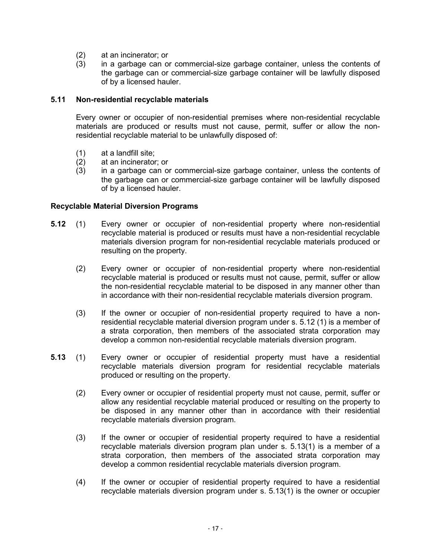- $(2)$  at an incinerator; or  $(3)$  in a garbage can or
- in a garbage can or commercial-size garbage container, unless the contents of the garbage can or commercial-size garbage container will be lawfully disposed of by a licensed hauler.

#### **5.11 Non-residential recyclable materials**

Every owner or occupier of non-residential premises where non-residential recyclable materials are produced or results must not cause, permit, suffer or allow the nonresidential recyclable material to be unlawfully disposed of:

- (1) at a landfill site;
- (2) at an incinerator; or
- (3) in a garbage can or commercial-size garbage container, unless the contents of the garbage can or commercial-size garbage container will be lawfully disposed of by a licensed hauler.

#### **Recyclable Material Diversion Programs**

- **5.12** (1) Every owner or occupier of non-residential property where non-residential recyclable material is produced or results must have a non-residential recyclable materials diversion program for non-residential recyclable materials produced or resulting on the property.
	- (2) Every owner or occupier of non-residential property where non-residential recyclable material is produced or results must not cause, permit, suffer or allow the non-residential recyclable material to be disposed in any manner other than in accordance with their non-residential recyclable materials diversion program.
	- (3) If the owner or occupier of non-residential property required to have a nonresidential recyclable material diversion program under s. 5.12 (1) is a member of a strata corporation, then members of the associated strata corporation may develop a common non-residential recyclable materials diversion program.
- **5.13** (1) Every owner or occupier of residential property must have a residential recyclable materials diversion program for residential recyclable materials produced or resulting on the property.
	- (2) Every owner or occupier of residential property must not cause, permit, suffer or allow any residential recyclable material produced or resulting on the property to be disposed in any manner other than in accordance with their residential recyclable materials diversion program.
	- (3) If the owner or occupier of residential property required to have a residential recyclable materials diversion program plan under s. 5.13(1) is a member of a strata corporation, then members of the associated strata corporation may develop a common residential recyclable materials diversion program.
	- (4) If the owner or occupier of residential property required to have a residential recyclable materials diversion program under s. 5.13(1) is the owner or occupier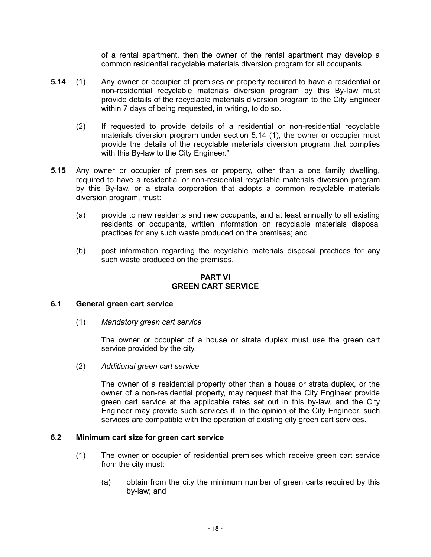of a rental apartment, then the owner of the rental apartment may develop a common residential recyclable materials diversion program for all occupants.

- **5.14** (1) Any owner or occupier of premises or property required to have a residential or non-residential recyclable materials diversion program by this By-law must provide details of the recyclable materials diversion program to the City Engineer within 7 days of being requested, in writing, to do so.
	- (2) If requested to provide details of a residential or non-residential recyclable materials diversion program under section 5.14 (1), the owner or occupier must provide the details of the recyclable materials diversion program that complies with this By-law to the City Engineer."
- **5.15** Any owner or occupier of premises or property, other than a one family dwelling, required to have a residential or non-residential recyclable materials diversion program by this By-law, or a strata corporation that adopts a common recyclable materials diversion program, must:
	- (a) provide to new residents and new occupants, and at least annually to all existing residents or occupants, written information on recyclable materials disposal practices for any such waste produced on the premises; and
	- (b) post information regarding the recyclable materials disposal practices for any such waste produced on the premises.

#### **PART VI GREEN CART SERVICE**

## **6.1 General green cart service**

(1) *Mandatory green cart service*

The owner or occupier of a house or strata duplex must use the green cart service provided by the city.

(2) *Additional green cart service*

The owner of a residential property other than a house or strata duplex, or the owner of a non-residential property, may request that the City Engineer provide green cart service at the applicable rates set out in this by-law, and the City Engineer may provide such services if, in the opinion of the City Engineer, such services are compatible with the operation of existing city green cart services.

#### **6.2 Minimum cart size for green cart service**

- (1) The owner or occupier of residential premises which receive green cart service from the city must:
	- (a) obtain from the city the minimum number of green carts required by this by-law; and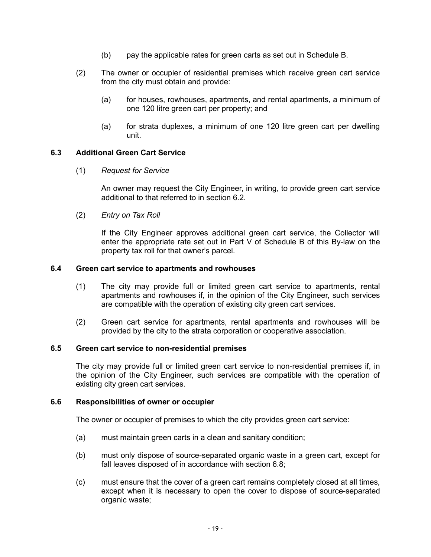- (b) pay the applicable rates for green carts as set out in Schedule B.
- (2) The owner or occupier of residential premises which receive green cart service from the city must obtain and provide:
	- (a) for houses, rowhouses, apartments, and rental apartments, a minimum of one 120 litre green cart per property; and
	- (a) for strata duplexes, a minimum of one 120 litre green cart per dwelling unit.

#### **6.3 Additional Green Cart Service**

(1) *Request for Service*

An owner may request the City Engineer, in writing, to provide green cart service additional to that referred to in section 6.2.

(2) *Entry on Tax Roll*

If the City Engineer approves additional green cart service, the Collector will enter the appropriate rate set out in Part V of Schedule B of this By-law on the property tax roll for that owner's parcel.

#### **6.4 Green cart service to apartments and rowhouses**

- (1) The city may provide full or limited green cart service to apartments, rental apartments and rowhouses if, in the opinion of the City Engineer, such services are compatible with the operation of existing city green cart services.
- (2) Green cart service for apartments, rental apartments and rowhouses will be provided by the city to the strata corporation or cooperative association.

#### **6.5 Green cart service to non-residential premises**

The city may provide full or limited green cart service to non-residential premises if, in the opinion of the City Engineer, such services are compatible with the operation of existing city green cart services.

#### **6.6 Responsibilities of owner or occupier**

The owner or occupier of premises to which the city provides green cart service:

- (a) must maintain green carts in a clean and sanitary condition;
- (b) must only dispose of source-separated organic waste in a green cart, except for fall leaves disposed of in accordance with section 6.8;
- (c) must ensure that the cover of a green cart remains completely closed at all times, except when it is necessary to open the cover to dispose of source-separated organic waste;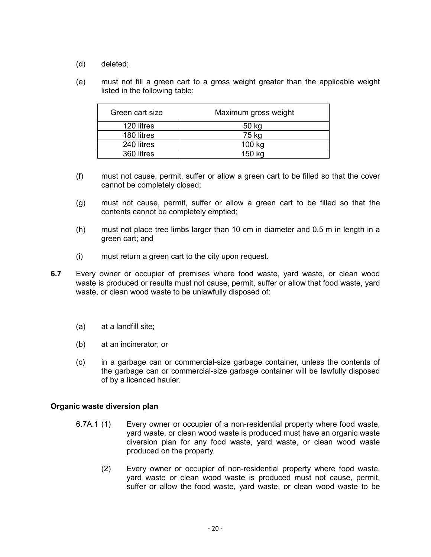- (d) deleted;
- (e) must not fill a green cart to a gross weight greater than the applicable weight listed in the following table:

| Green cart size | Maximum gross weight |
|-----------------|----------------------|
| 120 litres      | 50 kg                |
| 180 litres      | 75 kg                |
| 240 litres      | 100 kg               |
| 360 litres      | 150 ka               |

- (f) must not cause, permit, suffer or allow a green cart to be filled so that the cover cannot be completely closed;
- (g) must not cause, permit, suffer or allow a green cart to be filled so that the contents cannot be completely emptied;
- (h) must not place tree limbs larger than 10 cm in diameter and 0.5 m in length in a green cart; and
- (i) must return a green cart to the city upon request.
- **6.7** Every owner or occupier of premises where food waste, yard waste, or clean wood waste is produced or results must not cause, permit, suffer or allow that food waste, yard waste, or clean wood waste to be unlawfully disposed of:
	- (a) at a landfill site;
	- (b) at an incinerator; or
	- (c) in a garbage can or commercial-size garbage container, unless the contents of the garbage can or commercial-size garbage container will be lawfully disposed of by a licenced hauler.

#### **Organic waste diversion plan**

- 6.7A.1 (1) Every owner or occupier of a non-residential property where food waste, yard waste, or clean wood waste is produced must have an organic waste diversion plan for any food waste, yard waste, or clean wood waste produced on the property.
	- (2) Every owner or occupier of non-residential property where food waste, yard waste or clean wood waste is produced must not cause, permit, suffer or allow the food waste, yard waste, or clean wood waste to be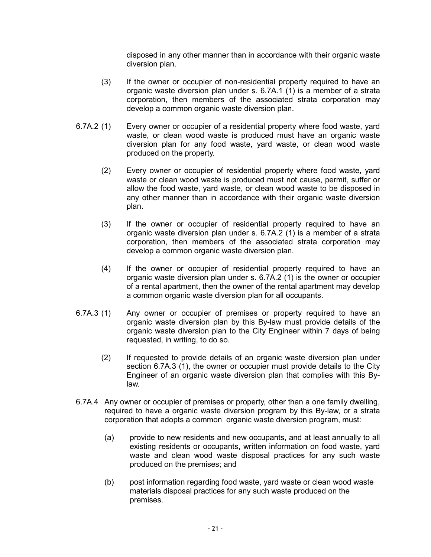disposed in any other manner than in accordance with their organic waste diversion plan.

- (3) If the owner or occupier of non-residential property required to have an organic waste diversion plan under s. 6.7A.1 (1) is a member of a strata corporation, then members of the associated strata corporation may develop a common organic waste diversion plan.
- 6.7A.2 (1) Every owner or occupier of a residential property where food waste, yard waste, or clean wood waste is produced must have an organic waste diversion plan for any food waste, yard waste, or clean wood waste produced on the property.
	- (2) Every owner or occupier of residential property where food waste, yard waste or clean wood waste is produced must not cause, permit, suffer or allow the food waste, yard waste, or clean wood waste to be disposed in any other manner than in accordance with their organic waste diversion plan.
	- (3) If the owner or occupier of residential property required to have an organic waste diversion plan under s. 6.7A.2 (1) is a member of a strata corporation, then members of the associated strata corporation may develop a common organic waste diversion plan.
	- (4) If the owner or occupier of residential property required to have an organic waste diversion plan under s. 6.7A.2 (1) is the owner or occupier of a rental apartment, then the owner of the rental apartment may develop a common organic waste diversion plan for all occupants.
- 6.7A.3 (1) Any owner or occupier of premises or property required to have an organic waste diversion plan by this By-law must provide details of the organic waste diversion plan to the City Engineer within 7 days of being requested, in writing, to do so.
	- (2) If requested to provide details of an organic waste diversion plan under section 6.7A.3 (1), the owner or occupier must provide details to the City Engineer of an organic waste diversion plan that complies with this Bylaw.
- 6.7A.4 Any owner or occupier of premises or property, other than a one family dwelling, required to have a organic waste diversion program by this By-law, or a strata corporation that adopts a common organic waste diversion program, must:
	- (a) provide to new residents and new occupants, and at least annually to all existing residents or occupants, written information on food waste, yard waste and clean wood waste disposal practices for any such waste produced on the premises; and
	- (b) post information regarding food waste, yard waste or clean wood waste materials disposal practices for any such waste produced on the premises.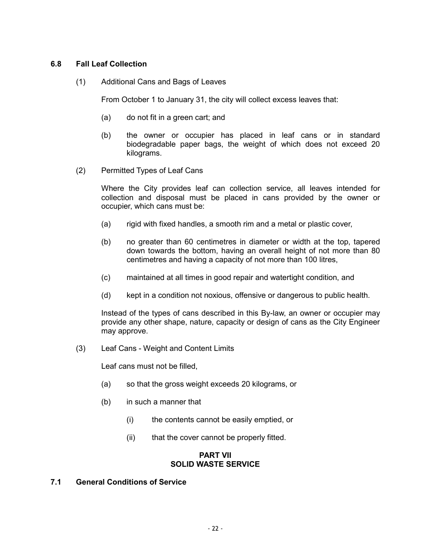## **6.8 Fall Leaf Collection**

(1) Additional Cans and Bags of Leaves

From October 1 to January 31, the city will collect excess leaves that:

- (a) do not fit in a green cart; and
- (b) the owner or occupier has placed in leaf cans or in standard biodegradable paper bags, the weight of which does not exceed 20 kilograms.
- (2) Permitted Types of Leaf Cans

Where the City provides leaf can collection service, all leaves intended for collection and disposal must be placed in cans provided by the owner or occupier, which cans must be:

- (a) rigid with fixed handles, a smooth rim and a metal or plastic cover,
- (b) no greater than 60 centimetres in diameter or width at the top, tapered down towards the bottom, having an overall height of not more than 80 centimetres and having a capacity of not more than 100 litres,
- (c) maintained at all times in good repair and watertight condition, and
- (d) kept in a condition not noxious, offensive or dangerous to public health.

Instead of the types of cans described in this By-law, an owner or occupier may provide any other shape, nature, capacity or design of cans as the City Engineer may approve.

(3) Leaf Cans - Weight and Content Limits

Leaf *c*ans must not be filled,

- (a) so that the gross weight exceeds 20 kilograms, or
- (b) in such a manner that
	- (i) the contents cannot be easily emptied, or
	- (ii) that the cover cannot be properly fitted.

#### **PART VII SOLID WASTE SERVICE**

## **7.1 General Conditions of Service**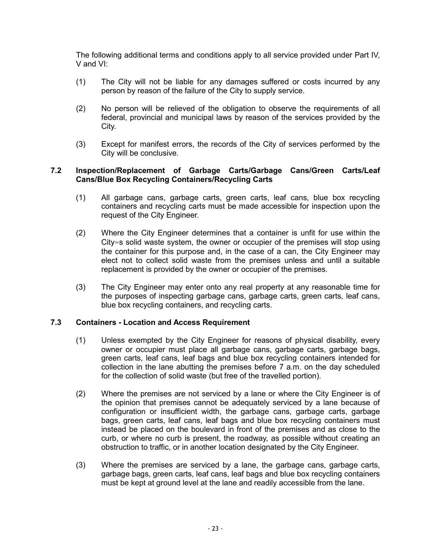The following additional terms and conditions apply to all service provided under Part IV, V and VI:

- (1) The City will not be liable for any damages suffered or costs incurred by any person by reason of the failure of the City to supply service.
- (2) No person will be relieved of the obligation to observe the requirements of all federal, provincial and municipal laws by reason of the services provided by the City.
- (3) Except for manifest errors, the records of the City of services performed by the City will be conclusive.

## **7.2 Inspection/Replacement of Garbage Carts/Garbage Cans/Green Carts/Leaf Cans/Blue Box Recycling Containers/Recycling Carts**

- (1) All garbage cans, garbage carts, green carts, leaf cans, blue box recycling containers and recycling carts must be made accessible for inspection upon the request of the City Engineer.
- (2) Where the City Engineer determines that a container is unfit for use within the City=s solid waste system, the owner or occupier of the premises will stop using the container for this purpose and, in the case of a can, the City Engineer may elect not to collect solid waste from the premises unless and until a suitable replacement is provided by the owner or occupier of the premises.
- (3) The City Engineer may enter onto any real property at any reasonable time for the purposes of inspecting garbage cans, garbage carts, green carts, leaf cans, blue box recycling containers, and recycling carts.

## **7.3 Containers - Location and Access Requirement**

- (1) Unless exempted by the City Engineer for reasons of physical disability, every owner or occupier must place all garbage cans, garbage carts, garbage bags, green carts, leaf cans, leaf bags and blue box recycling containers intended for collection in the lane abutting the premises before 7 a.m. on the day scheduled for the collection of solid waste (but free of the travelled portion).
- (2) Where the premises are not serviced by a lane or where the City Engineer is of the opinion that premises cannot be adequately serviced by a lane because of configuration or insufficient width, the garbage cans, garbage carts, garbage bags, green carts, leaf cans, leaf bags and blue box recycling containers must instead be placed on the boulevard in front of the premises and as close to the curb, or where no curb is present, the roadway, as possible without creating an obstruction to traffic, or in another location designated by the City Engineer.
- (3) Where the premises are serviced by a lane, the garbage cans, garbage carts, garbage bags, green carts, leaf cans, leaf bags and blue box recycling containers must be kept at ground level at the lane and readily accessible from the lane.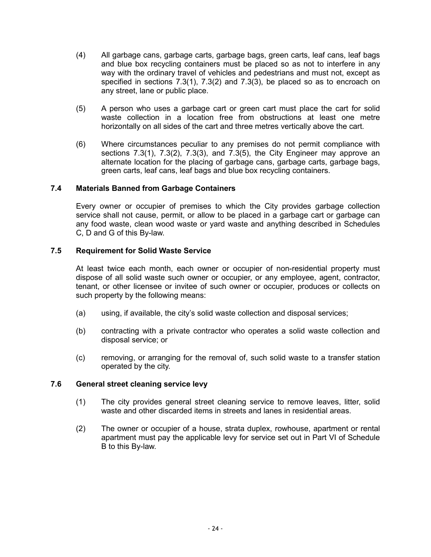- (4) All garbage cans, garbage carts, garbage bags, green carts, leaf cans, leaf bags and blue box recycling containers must be placed so as not to interfere in any way with the ordinary travel of vehicles and pedestrians and must not, except as specified in sections 7.3(1), 7.3(2) and 7.3(3), be placed so as to encroach on any street, lane or public place.
- (5) A person who uses a garbage cart or green cart must place the cart for solid waste collection in a location free from obstructions at least one metre horizontally on all sides of the cart and three metres vertically above the cart.
- (6) Where circumstances peculiar to any premises do not permit compliance with sections 7.3(1), 7.3(2), 7.3(3), and 7.3(5), the City Engineer may approve an alternate location for the placing of garbage cans, garbage carts, garbage bags, green carts, leaf cans, leaf bags and blue box recycling containers.

## **7.4 Materials Banned from Garbage Containers**

Every owner or occupier of premises to which the City provides garbage collection service shall not cause, permit, or allow to be placed in a garbage cart or garbage can any food waste, clean wood waste or yard waste and anything described in Schedules C, D and G of this By-law.

## **7.5 Requirement for Solid Waste Service**

At least twice each month, each owner or occupier of non-residential property must dispose of all solid waste such owner or occupier, or any employee, agent, contractor, tenant, or other licensee or invitee of such owner or occupier, produces or collects on such property by the following means:

- (a) using, if available, the city's solid waste collection and disposal services;
- (b) contracting with a private contractor who operates a solid waste collection and disposal service; or
- (c) removing, or arranging for the removal of, such solid waste to a transfer station operated by the city.

# **7.6 General street cleaning service levy**

- (1) The city provides general street cleaning service to remove leaves, litter, solid waste and other discarded items in streets and lanes in residential areas.
- (2) The owner or occupier of a house, strata duplex, rowhouse, apartment or rental apartment must pay the applicable levy for service set out in Part VI of Schedule B to this By-law.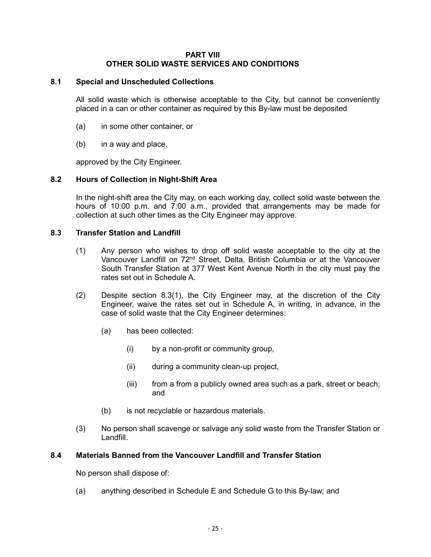#### **PART VIII OTHER SOLID WASTE SERVICES AND CONDITIONS**

# **8.1 Special and Unscheduled Collections**

All solid waste which is otherwise acceptable to the City, but cannot be conveniently placed in a can or other container as required by this By-law must be deposited

- (a) in some other container, or
- (b) in a way and place,

approved by the City Engineer.

#### **8.2 Hours of Collection in Night-Shift Area**

In the night-shift area the City may, on each working day, collect solid waste between the hours of 10:00 p.m. and 7:00 a.m., provided that arrangements may be made for collection at such other times as the City Engineer may approve.

#### **8.3 Transfer Station and Landfill**

- (1) Any person who wishes to drop off solid waste acceptable to the city at the Vancouver Landfill on 72<sup>nd</sup> Street, Delta, British Columbia or at the Vancouver South Transfer Station at 377 West Kent Avenue North in the city must pay the rates set out in Schedule A.
- (2) Despite section 8.3(1), the City Engineer may, at the discretion of the City Engineer, waive the rates set out in Schedule A, in writing, in advance, in the case of solid waste that the City Engineer determines:
	- (a) has been collected:
		- (i) by a non-profit or community group,
		- (ii) during a community clean-up project,
		- (iii) from a from a publicly owned area such as a park, street or beach; and
	- (b) is not recyclable or hazardous materials.
- (3) No person shall scavenge or salvage any solid waste from the Transfer Station or Landfill.

#### **8.4 Materials Banned from the Vancouver Landfill and Transfer Station**

No person shall dispose of:

(a) anything described in Schedule E and Schedule G to this By-law; and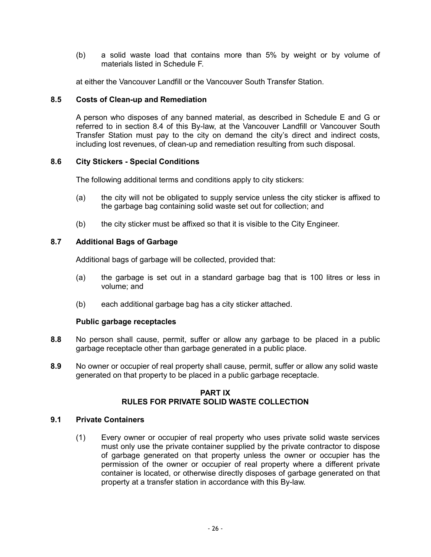(b) a solid waste load that contains more than 5% by weight or by volume of materials listed in Schedule F.

at either the Vancouver Landfill or the Vancouver South Transfer Station.

## **8.5 Costs of Clean-up and Remediation**

A person who disposes of any banned material, as described in Schedule E and G or referred to in section 8.4 of this By-law, at the Vancouver Landfill or Vancouver South Transfer Station must pay to the city on demand the city's direct and indirect costs, including lost revenues, of clean-up and remediation resulting from such disposal.

## **8.6 City Stickers - Special Conditions**

The following additional terms and conditions apply to city stickers:

- (a) the city will not be obligated to supply service unless the city sticker is affixed to the garbage bag containing solid waste set out for collection; and
- (b) the city sticker must be affixed so that it is visible to the City Engineer.

## **8.7 Additional Bags of Garbage**

Additional bags of garbage will be collected, provided that:

- (a) the garbage is set out in a standard garbage bag that is 100 litres or less in volume; and
- (b) each additional garbage bag has a city sticker attached.

## **Public garbage receptacles**

- **8.8** No person shall cause, permit, suffer or allow any garbage to be placed in a public garbage receptacle other than garbage generated in a public place.
- **8.9** No owner or occupier of real property shall cause, permit, suffer or allow any solid waste generated on that property to be placed in a public garbage receptacle.

#### **PART IX RULES FOR PRIVATE SOLID WASTE COLLECTION**

#### **9.1 Private Containers**

(1) Every owner or occupier of real property who uses private solid waste services must only use the private container supplied by the private contractor to dispose of garbage generated on that property unless the owner or occupier has the permission of the owner or occupier of real property where a different private container is located, or otherwise directly disposes of garbage generated on that property at a transfer station in accordance with this By-law.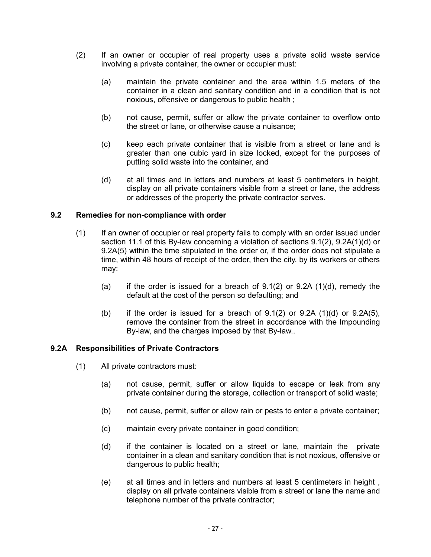- (2) If an owner or occupier of real property uses a private solid waste service involving a private container, the owner or occupier must:
	- (a) maintain the private container and the area within 1.5 meters of the container in a clean and sanitary condition and in a condition that is not noxious, offensive or dangerous to public health ;
	- (b) not cause, permit, suffer or allow the private container to overflow onto the street or lane, or otherwise cause a nuisance;
	- (c) keep each private container that is visible from a street or lane and is greater than one cubic yard in size locked, except for the purposes of putting solid waste into the container, and
	- (d) at all times and in letters and numbers at least 5 centimeters in height, display on all private containers visible from a street or lane, the address or addresses of the property the private contractor serves.

## **9.2 Remedies for non-compliance with order**

- (1) If an owner of occupier or real property fails to comply with an order issued under section 11.1 of this By-law concerning a violation of sections 9.1(2), 9.2A(1)(d) or 9.2A(5) within the time stipulated in the order or, if the order does not stipulate a time, within 48 hours of receipt of the order, then the city, by its workers or others may:
	- (a) if the order is issued for a breach of  $9.1(2)$  or  $9.2A$   $(1)(d)$ , remedy the default at the cost of the person so defaulting; and
	- (b) if the order is issued for a breach of  $9.1(2)$  or  $9.2A(1)(d)$  or  $9.2A(5)$ , remove the container from the street in accordance with the Impounding By-law, and the charges imposed by that By-law..

#### **9.2A Responsibilities of Private Contractors**

- (1) All private contractors must:
	- (a) not cause, permit, suffer or allow liquids to escape or leak from any private container during the storage, collection or transport of solid waste;
	- (b) not cause, permit, suffer or allow rain or pests to enter a private container;
	- (c) maintain every private container in good condition;
	- (d) if the container is located on a street or lane, maintain the private container in a clean and sanitary condition that is not noxious, offensive or dangerous to public health;
	- (e) at all times and in letters and numbers at least 5 centimeters in height , display on all private containers visible from a street or lane the name and telephone number of the private contractor;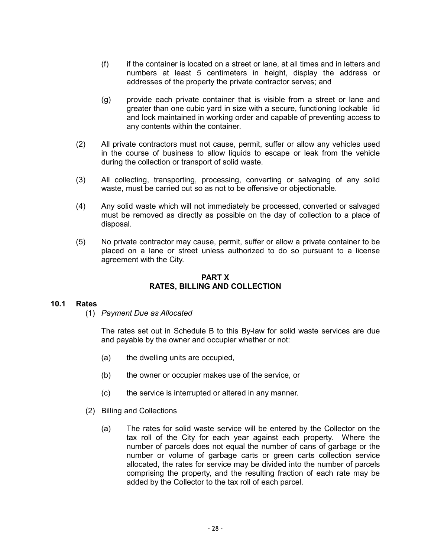- (f) if the container is located on a street or lane, at all times and in letters and numbers at least 5 centimeters in height, display the address or addresses of the property the private contractor serves; and
- (g) provide each private container that is visible from a street or lane and greater than one cubic yard in size with a secure, functioning lockable lid and lock maintained in working order and capable of preventing access to any contents within the container.
- (2) All private contractors must not cause, permit, suffer or allow any vehicles used in the course of business to allow liquids to escape or leak from the vehicle during the collection or transport of solid waste.
- (3) All collecting, transporting, processing, converting or salvaging of any solid waste, must be carried out so as not to be offensive or objectionable.
- (4) Any solid waste which will not immediately be processed, converted or salvaged must be removed as directly as possible on the day of collection to a place of disposal.
- (5) No private contractor may cause, permit, suffer or allow a private container to be placed on a lane or street unless authorized to do so pursuant to a license agreement with the City.

#### **PART X RATES, BILLING AND COLLECTION**

## **10.1 Rates**

(1) *Payment Due as Allocated*

The rates set out in Schedule B to this By-law for solid waste services are due and payable by the owner and occupier whether or not:

- (a) the dwelling units are occupied,
- (b) the owner or occupier makes use of the service, or
- (c) the service is interrupted or altered in any manner.
- (2) Billing and Collections
	- (a) The rates for solid waste service will be entered by the Collector on the tax roll of the City for each year against each property. Where the number of parcels does not equal the number of cans of garbage or the number or volume of garbage carts or green carts collection service allocated, the rates for service may be divided into the number of parcels comprising the property, and the resulting fraction of each rate may be added by the Collector to the tax roll of each parcel.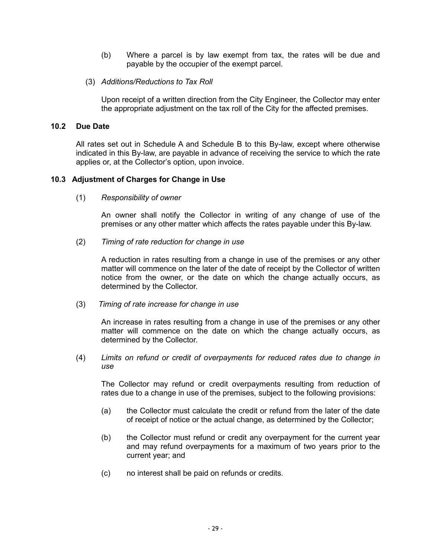- (b) Where a parcel is by law exempt from tax, the rates will be due and payable by the occupier of the exempt parcel.
- (3) *Additions/Reductions to Tax Roll*

Upon receipt of a written direction from the City Engineer, the Collector may enter the appropriate adjustment on the tax roll of the City for the affected premises.

## **10.2 Due Date**

All rates set out in Schedule A and Schedule B to this By-law, except where otherwise indicated in this By-law, are payable in advance of receiving the service to which the rate applies or, at the Collector's option, upon invoice.

#### **10.3 Adjustment of Charges for Change in Use**

(1) *Responsibility of owner*

An owner shall notify the Collector in writing of any change of use of the premises or any other matter which affects the rates payable under this By-law.

(2) *Timing of rate reduction for change in use*

A reduction in rates resulting from a change in use of the premises or any other matter will commence on the later of the date of receipt by the Collector of written notice from the owner, or the date on which the change actually occurs, as determined by the Collector.

(3) *Timing of rate increase for change in use*

An increase in rates resulting from a change in use of the premises or any other matter will commence on the date on which the change actually occurs, as determined by the Collector.

(4) *Limits on refund or credit of overpayments for reduced rates due to change in use*

The Collector may refund or credit overpayments resulting from reduction of rates due to a change in use of the premises, subject to the following provisions:

- (a) the Collector must calculate the credit or refund from the later of the date of receipt of notice or the actual change, as determined by the Collector;
- (b) the Collector must refund or credit any overpayment for the current year and may refund overpayments for a maximum of two years prior to the current year; and
- (c) no interest shall be paid on refunds or credits.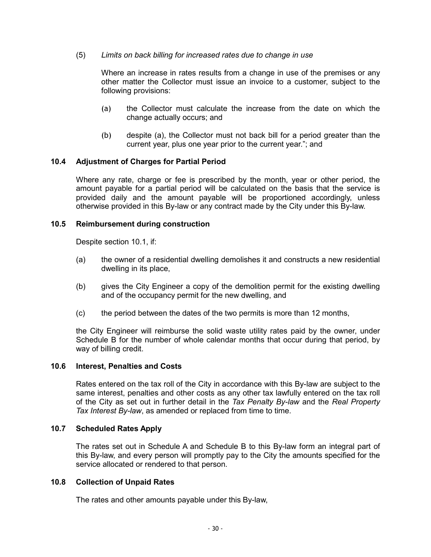## (5) *Limits on back billing for increased rates due to change in use*

Where an increase in rates results from a change in use of the premises or any other matter the Collector must issue an invoice to a customer, subject to the following provisions:

- (a) the Collector must calculate the increase from the date on which the change actually occurs; and
- (b) despite (a), the Collector must not back bill for a period greater than the current year, plus one year prior to the current year."; and

#### **10.4 Adjustment of Charges for Partial Period**

Where any rate, charge or fee is prescribed by the month, year or other period, the amount payable for a partial period will be calculated on the basis that the service is provided daily and the amount payable will be proportioned accordingly, unless otherwise provided in this By-law or any contract made by the City under this By-law.

#### **10.5 Reimbursement during construction**

Despite section 10.1, if:

- (a) the owner of a residential dwelling demolishes it and constructs a new residential dwelling in its place,
- (b) gives the City Engineer a copy of the demolition permit for the existing dwelling and of the occupancy permit for the new dwelling, and
- (c) the period between the dates of the two permits is more than 12 months,

the City Engineer will reimburse the solid waste utility rates paid by the owner, under Schedule B for the number of whole calendar months that occur during that period, by way of billing credit.

#### **10.6 Interest, Penalties and Costs**

Rates entered on the tax roll of the City in accordance with this By-law are subject to the same interest, penalties and other costs as any other tax lawfully entered on the tax roll of the City as set out in further detail in the *Tax Penalty By-law* and the *Real Property*  Tax Interest By-law, as amended or replaced from time to time.

#### **10.7 Scheduled Rates Apply**

The rates set out in Schedule A and Schedule B to this By-law form an integral part of this By-law, and every person will promptly pay to the City the amounts specified for the service allocated or rendered to that person.

#### **10.8 Collection of Unpaid Rates**

The rates and other amounts payable under this By-law,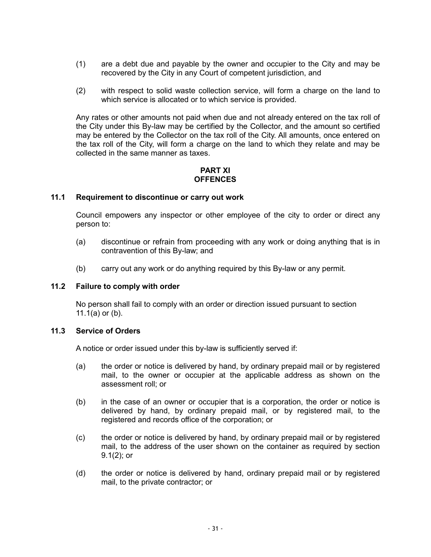- (1) are a debt due and payable by the owner and occupier to the City and may be recovered by the City in any Court of competent jurisdiction, and
- (2) with respect to solid waste collection service, will form a charge on the land to which service is allocated or to which service is provided.

Any rates or other amounts not paid when due and not already entered on the tax roll of the City under this By-law may be certified by the Collector, and the amount so certified may be entered by the Collector on the tax roll of the City. All amounts, once entered on the tax roll of the City, will form a charge on the land to which they relate and may be collected in the same manner as taxes.

## **PART XI OFFENCES**

## **11.1 Requirement to discontinue or carry out work**

Council empowers any inspector or other employee of the city to order or direct any person to:

- (a) discontinue or refrain from proceeding with any work or doing anything that is in contravention of this By-law; and
- (b) carry out any work or do anything required by this By-law or any permit.

#### **11.2 Failure to comply with order**

No person shall fail to comply with an order or direction issued pursuant to section 11.1(a) or (b).

## **11.3 Service of Orders**

A notice or order issued under this by-law is sufficiently served if:

- (a) the order or notice is delivered by hand, by ordinary prepaid mail or by registered mail, to the owner or occupier at the applicable address as shown on the assessment roll; or
- (b) in the case of an owner or occupier that is a corporation, the order or notice is delivered by hand, by ordinary prepaid mail, or by registered mail, to the registered and records office of the corporation; or
- (c) the order or notice is delivered by hand, by ordinary prepaid mail or by registered mail, to the address of the user shown on the container as required by section 9.1(2); or
- (d) the order or notice is delivered by hand, ordinary prepaid mail or by registered mail, to the private contractor; or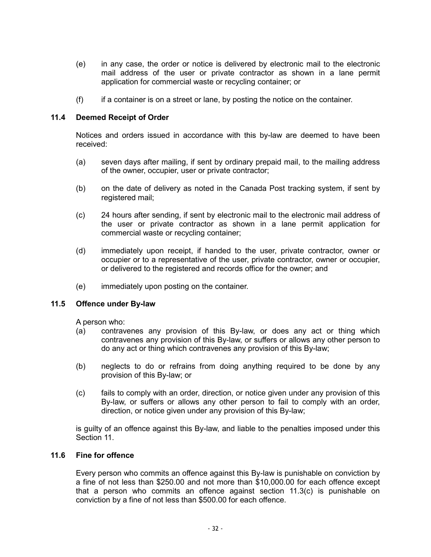- (e) in any case, the order or notice is delivered by electronic mail to the electronic mail address of the user or private contractor as shown in a lane permit application for commercial waste or recycling container; or
- (f) if a container is on a street or lane, by posting the notice on the container.

#### **11.4 Deemed Receipt of Order**

Notices and orders issued in accordance with this by-law are deemed to have been received:

- (a) seven days after mailing, if sent by ordinary prepaid mail, to the mailing address of the owner, occupier, user or private contractor;
- (b) on the date of delivery as noted in the Canada Post tracking system, if sent by registered mail;
- (c) 24 hours after sending, if sent by electronic mail to the electronic mail address of the user or private contractor as shown in a lane permit application for commercial waste or recycling container;
- (d) immediately upon receipt, if handed to the user, private contractor, owner or occupier or to a representative of the user, private contractor, owner or occupier, or delivered to the registered and records office for the owner; and
- (e) immediately upon posting on the container.

## **11.5 Offence under By-law**

A person who:

- (a) contravenes any provision of this By-law, or does any act or thing which contravenes any provision of this By-law, or suffers or allows any other person to do any act or thing which contravenes any provision of this By-law;
- (b) neglects to do or refrains from doing anything required to be done by any provision of this By-law; or
- (c) fails to comply with an order, direction, or notice given under any provision of this By-law, or suffers or allows any other person to fail to comply with an order, direction, or notice given under any provision of this By-law;

is guilty of an offence against this By-law, and liable to the penalties imposed under this Section 11.

#### **11.6 Fine for offence**

Every person who commits an offence against this By-law is punishable on conviction by a fine of not less than \$250.00 and not more than \$10,000.00 for each offence except that a person who commits an offence against section 11.3(c) is punishable on conviction by a fine of not less than \$500.00 for each offence.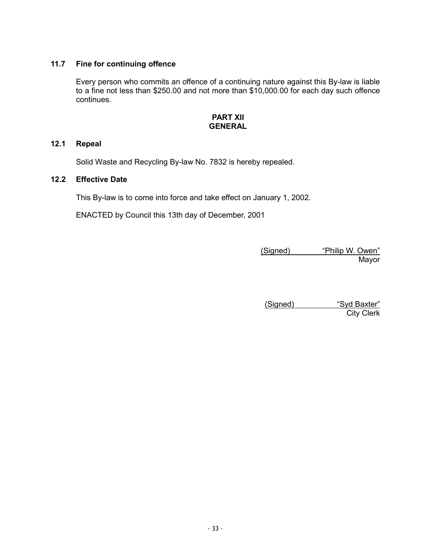# **11.7 Fine for continuing offence**

Every person who commits an offence of a continuing nature against this By-law is liable to a fine not less than \$250.00 and not more than \$10,000.00 for each day such offence continues.

### **PART XII GENERAL**

# **12.1 Repeal**

Solid Waste and Recycling By-law No. 7832 is hereby repealed.

# **12.2 Effective Date**

This By-law is to come into force and take effect on January 1, 2002.

ENACTED by Council this 13th day of December, 2001

(Signed) "Philip W. Owen" **Mayor** 

(Signed) "Syd Baxter" City Clerk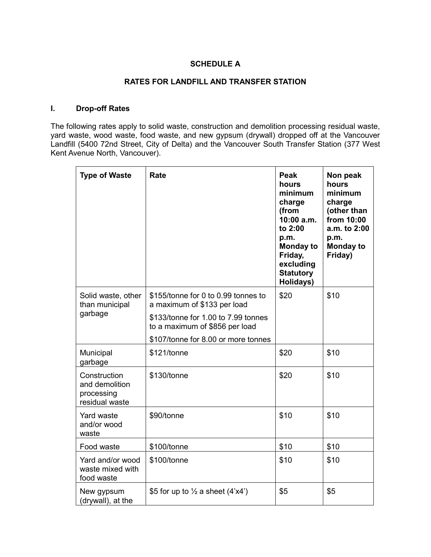# **SCHEDULE A**

# **RATES FOR LANDFILL AND TRANSFER STATION**

## **I. Drop-off Rates**

The following rates apply to solid waste, construction and demolition processing residual waste, yard waste, wood waste, food waste, and new gypsum (drywall) dropped off at the Vancouver Landfill (5400 72nd Street, City of Delta) and the Vancouver South Transfer Station (377 West Kent Avenue North, Vancouver).

| <b>Type of Waste</b>                                           | Rate                                                                  | Peak<br>hours<br>minimum<br>charge<br>(from<br>$10:00$ a.m.<br>to 2:00<br>p.m.<br><b>Monday to</b><br>Friday,<br>excluding<br><b>Statutory</b><br>Holidays) | Non peak<br>hours<br>minimum<br>charge<br>(other than<br>from 10:00<br>a.m. to 2:00<br>p.m.<br><b>Monday to</b><br>Friday) |
|----------------------------------------------------------------|-----------------------------------------------------------------------|-------------------------------------------------------------------------------------------------------------------------------------------------------------|----------------------------------------------------------------------------------------------------------------------------|
| Solid waste, other<br>than municipal                           | \$155/tonne for 0 to 0.99 tonnes to<br>a maximum of \$133 per load    | \$20                                                                                                                                                        | \$10                                                                                                                       |
| garbage                                                        | \$133/tonne for 1.00 to 7.99 tonnes<br>to a maximum of \$856 per load |                                                                                                                                                             |                                                                                                                            |
|                                                                | \$107/tonne for 8.00 or more tonnes                                   |                                                                                                                                                             |                                                                                                                            |
| Municipal<br>garbage                                           | \$121/tonne                                                           | \$20                                                                                                                                                        | \$10                                                                                                                       |
| Construction<br>and demolition<br>processing<br>residual waste | \$130/tonne                                                           | \$20                                                                                                                                                        | \$10                                                                                                                       |
| <b>Yard waste</b><br>and/or wood<br>waste                      | \$90/tonne                                                            | \$10                                                                                                                                                        | \$10                                                                                                                       |
| Food waste                                                     | \$100/tonne                                                           | \$10                                                                                                                                                        | \$10                                                                                                                       |
| Yard and/or wood<br>waste mixed with<br>food waste             | \$100/tonne                                                           | \$10                                                                                                                                                        | \$10                                                                                                                       |
| New gypsum<br>(drywall), at the                                | \$5 for up to $\frac{1}{2}$ a sheet (4'x4')                           | \$5                                                                                                                                                         | \$5                                                                                                                        |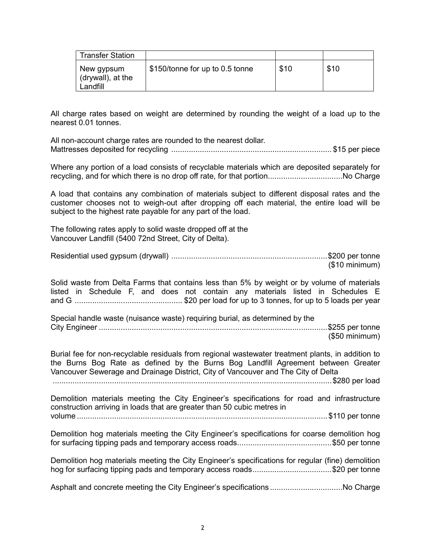| <b>Transfer Station</b>                     |                                 |      |      |
|---------------------------------------------|---------------------------------|------|------|
| New gypsum<br>(drywall), at the<br>Landfill | \$150/tonne for up to 0.5 tonne | \$10 | \$10 |

All charge rates based on weight are determined by rounding the weight of a load up to the nearest 0.01 tonnes.

All non-account charge rates are rounded to the nearest dollar. Mattresses deposited for recycling ......................................................................... \$15 per piece

Where any portion of a load consists of recyclable materials which are deposited separately for recycling, and for which there is no drop off rate, for that portion..................................No Charge

A load that contains any combination of materials subject to different disposal rates and the customer chooses not to weigh-out after dropping off each material, the entire load will be subject to the highest rate payable for any part of the load.

The following rates apply to solid waste dropped off at the Vancouver Landfill (5400 72nd Street, City of Delta).

Residential used gypsum (drywall) .......................................................................\$200 per tonne (\$10 minimum)

Solid waste from Delta Farms that contains less than 5% by weight or by volume of materials listed in Schedule F, and does not contain any materials listed in Schedules E and G ................................................. \$20 per load for up to 3 tonnes, for up to 5 loads per year

Special handle waste (nuisance waste) requiring burial, as determined by the City Engineer ........................................................................................................\$255 per tonne

(\$50 minimum)

Burial fee for non-recyclable residuals from regional wastewater treatment plants, in addition to the Burns Bog Rate as defined by the Burns Bog Landfill Agreement between Greater Vancouver Sewerage and Drainage District, City of Vancouver and The City of Delta

...............................................................................................................................\$280 per load

Demolition materials meeting the City Engineer's specifications for road and infrastructure construction arriving in loads that are greater than 50 cubic metres in volume ..................................................................................................................\$110 per tonne

Demolition hog materials meeting the City Engineer's specifications for coarse demolition hog for surfacing tipping pads and temporary access roads...........................................\$50 per tonne

Demolition hog materials meeting the City Engineer's specifications for regular (fine) demolition hog for surfacing tipping pads and temporary access roads...................................\$20 per tonne

Asphalt and concrete meeting the City Engineer's specifications ..................................No Charge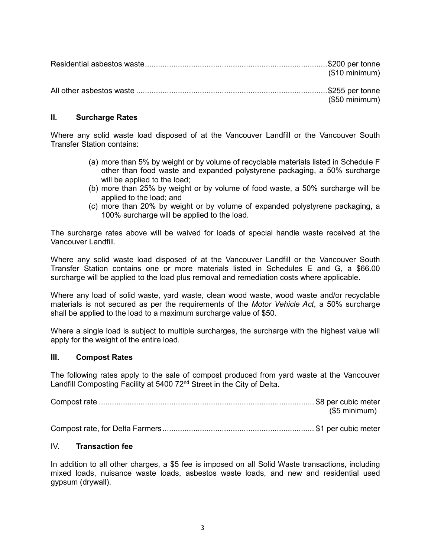| (\$10 minimum) |
|----------------|
| (\$50 minimum) |

## **II. Surcharge Rates**

Where any solid waste load disposed of at the Vancouver Landfill or the Vancouver South Transfer Station contains:

- (a) more than 5% by weight or by volume of recyclable materials listed in Schedule F other than food waste and expanded polystyrene packaging, a 50% surcharge will be applied to the load;
- (b) more than 25% by weight or by volume of food waste, a 50% surcharge will be applied to the load; and
- (c) more than 20% by weight or by volume of expanded polystyrene packaging, a 100% surcharge will be applied to the load.

The surcharge rates above will be waived for loads of special handle waste received at the Vancouver Landfill.

Where any solid waste load disposed of at the Vancouver Landfill or the Vancouver South Transfer Station contains one or more materials listed in Schedules E and G, a \$66.00 surcharge will be applied to the load plus removal and remediation costs where applicable.

Where any load of solid waste, yard waste, clean wood waste, wood waste and/or recyclable materials is not secured as per the requirements of the *Motor Vehicle Act*, a 50% surcharge shall be applied to the load to a maximum surcharge value of \$50.

Where a single load is subject to multiple surcharges, the surcharge with the highest value will apply for the weight of the entire load.

#### **III. Compost Rates**

The following rates apply to the sale of compost produced from yard waste at the Vancouver Landfill Composting Facility at 5400 72<sup>nd</sup> Street in the City of Delta.

Compost rate .................................................................................................. \$8 per cubic meter (\$5 minimum) Compost rate, for Delta Farmers..................................................................... \$1 per cubic meter

# IV. **Transaction fee**

In addition to all other charges, a \$5 fee is imposed on all Solid Waste transactions, including mixed loads, nuisance waste loads, asbestos waste loads, and new and residential used gypsum (drywall).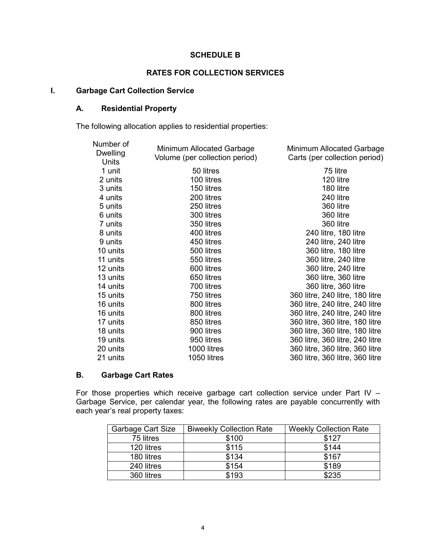#### **SCHEDULE B**

#### **RATES FOR COLLECTION SERVICES**

# **I. Garbage Cart Collection Service**

## **A. Residential Property**

The following allocation applies to residential properties:

| Number of<br><b>Dwelling</b><br>Units | Minimum Allocated Garbage<br>Volume (per collection period) | Minimum Allocated Garbage<br>Carts (per collection period) |
|---------------------------------------|-------------------------------------------------------------|------------------------------------------------------------|
| 1 unit                                | 50 litres                                                   | 75 litre                                                   |
| 2 units                               | 100 litres                                                  | 120 litre                                                  |
| 3 units                               | 150 litres                                                  | 180 litre                                                  |
| 4 units                               | 200 litres                                                  | 240 litre                                                  |
| 5 units                               | 250 litres                                                  | 360 litre                                                  |
| 6 units                               | 300 litres                                                  | 360 litre                                                  |
| 7 units                               | 350 litres                                                  | 360 litre                                                  |
| 8 units                               | 400 litres                                                  | 240 litre, 180 litre                                       |
| 9 units                               | 450 litres                                                  | 240 litre, 240 litre                                       |
| 10 units                              | 500 litres                                                  | 360 litre, 180 litre                                       |
| 11 units                              | 550 litres                                                  | 360 litre, 240 litre                                       |
| 12 units                              | 600 litres                                                  | 360 litre, 240 litre                                       |
| 13 units                              | 650 litres                                                  | 360 litre, 360 litre                                       |
| 14 units                              | 700 litres                                                  | 360 litre, 360 litre                                       |
| 15 units                              | 750 litres                                                  | 360 litre, 240 litre, 180 litre                            |
| 16 units                              | 800 litres                                                  | 360 litre, 240 litre, 240 litre                            |
| 16 units                              | 800 litres                                                  | 360 litre, 240 litre, 240 litre                            |
| 17 units                              | 850 litres                                                  | 360 litre, 360 litre, 180 litre                            |
| 18 units                              | 900 litres                                                  | 360 litre, 360 litre, 180 litre                            |
| 19 units                              | 950 litres                                                  | 360 litre, 360 litre, 240 litre                            |
| 20 units                              | 1000 litres                                                 | 360 litre, 360 litre, 360 litre                            |
| 21 units                              | 1050 litres                                                 | 360 litre, 360 litre, 360 litre                            |

# **B. Garbage Cart Rates**

For those properties which receive garbage cart collection service under Part IV – Garbage Service, per calendar year, the following rates are payable concurrently with each year's real property taxes:

| <b>Garbage Cart Size</b> | <b>Biweekly Collection Rate</b> | <b>Weekly Collection Rate</b> |
|--------------------------|---------------------------------|-------------------------------|
| 75 litres                | \$100                           | \$127                         |
| 120 litres               | \$115                           | \$144                         |
| 180 litres               | \$134                           | \$167                         |
| 240 litres               | \$154                           | \$189                         |
| 360 litres               | \$193                           | \$235                         |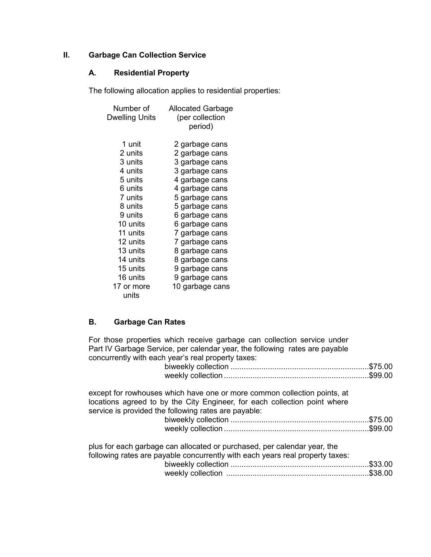# **II. Garbage Can Collection Service**

## **A. Residential Property**

The following allocation applies to residential properties:

| Number of      | <b>Allocated Garbage</b> |
|----------------|--------------------------|
| Dwelling Units | (per collection          |
|                | period)                  |
|                |                          |
| 1 unit         | 2 garbage cans           |
| 2 units        | 2 garbage cans           |
| 3 units        | 3 garbage cans           |
| 4 units        | 3 garbage cans           |
| 5 units        | 4 garbage cans           |
| 6 units        | 4 garbage cans           |
| 7 units        | 5 garbage cans           |
| 8 units        | 5 garbage cans           |
| 9 units        | 6 garbage cans           |
| 10 units       | 6 garbage cans           |
| 11 units       | 7 garbage cans           |
| 12 units       | 7 garbage cans           |
| 13 units       | 8 garbage cans           |
| 14 units       | 8 garbage cans           |
| 15 units       | 9 garbage cans           |
| 16 units       | 9 garbage cans           |
| 17 or more     | 10 garbage cans          |
| units          |                          |

## **B. Garbage Can Rates**

For those properties which receive garbage can collection service under Part IV Garbage Service, per calendar year, the following rates are payable concurrently with each year's real property taxes: biweekly collection ...............................................................\$75.00 weekly collection ..................................................................\$99.00 except for rowhouses which have one or more common collection points, at locations agreed to by the City Engineer, for each collection point where service is provided the following rates are payable: biweekly collection ...............................................................\$75.00 weekly collection ..................................................................\$99.00

| plus for each garbage can allocated or purchased, per calendar year, the      |  |
|-------------------------------------------------------------------------------|--|
| following rates are payable concurrently with each years real property taxes: |  |
|                                                                               |  |
|                                                                               |  |
|                                                                               |  |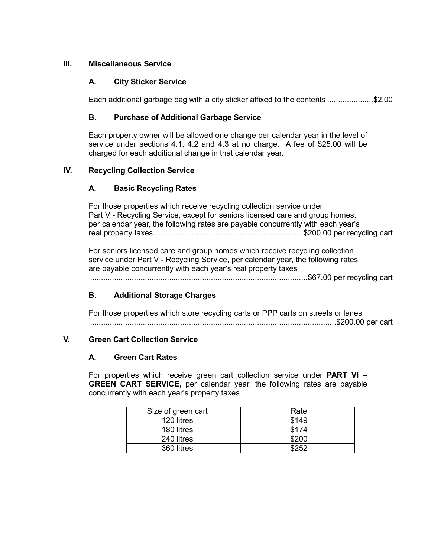# **III. Miscellaneous Service**

# **A. City Sticker Service**

Each additional garbage bag with a city sticker affixed to the contents .....................\$2.00

# **B. Purchase of Additional Garbage Service**

Each property owner will be allowed one change per calendar year in the level of service under sections 4.1, 4.2 and 4.3 at no charge. A fee of \$25.00 will be charged for each additional change in that calendar year.

# **IV. Recycling Collection Service**

# **A. Basic Recycling Rates**

For those properties which receive recycling collection service under Part V - Recycling Service, except for seniors licensed care and group homes, per calendar year, the following rates are payable concurrently with each year's real property taxes……………. .................................................\$200.00 per recycling cart

For seniors licensed care and group homes which receive recycling collection service under Part V - Recycling Service, per calendar year, the following rates are payable concurrently with each year's real property taxes

...................................................................................................\$67.00 per recycling cart

# **B. Additional Storage Charges**

For those properties which store recycling carts or PPP carts on streets or lanes ................................................................................................................\$200.00 per cart

# **V. Green Cart Collection Service**

## **A. Green Cart Rates**

For properties which receive green cart collection service under **PART VI – GREEN CART SERVICE,** per calendar year, the following rates are payable concurrently with each year's property taxes

| Size of green cart | Rate  |
|--------------------|-------|
| 120 litres         | \$149 |
| 180 litres         | \$174 |
| 240 litres         | \$200 |
| 360 litres         | よつらつ  |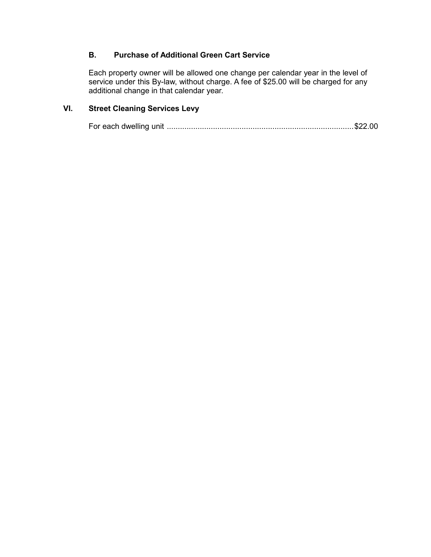# **B. Purchase of Additional Green Cart Service**

Each property owner will be allowed one change per calendar year in the level of service under this By-law, without charge. A fee of \$25.00 will be charged for any additional change in that calendar year.

# **VI. Street Cleaning Services Levy**

For each dwelling unit .....................................................................................\$22.00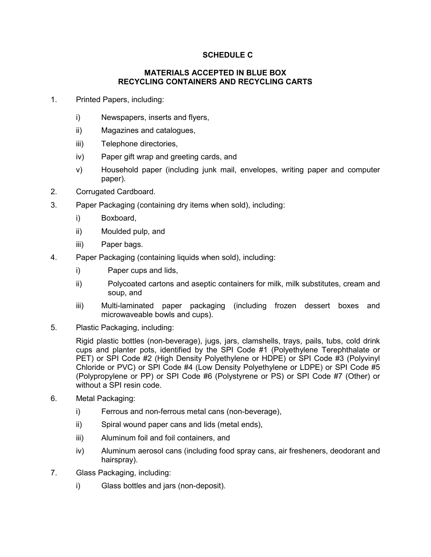# **SCHEDULE C**

#### **MATERIALS ACCEPTED IN BLUE BOX RECYCLING CONTAINERS AND RECYCLING CARTS**

- 1. Printed Papers, including:
	- i) Newspapers, inserts and flyers,
	- ii) Magazines and catalogues,
	- iii) Telephone directories,
	- iv) Paper gift wrap and greeting cards, and
	- v) Household paper (including junk mail, envelopes, writing paper and computer paper).
- 2. Corrugated Cardboard.
- 3. Paper Packaging (containing dry items when sold), including:
	- i) Boxboard,
	- ii) Moulded pulp, and
	- iii) Paper bags.
- 4. Paper Packaging (containing liquids when sold), including:
	- i) Paper cups and lids,
	- ii) Polycoated cartons and aseptic containers for milk, milk substitutes, cream and soup, and
	- iii) Multi-laminated paper packaging (including frozen dessert boxes and microwaveable bowls and cups).
- 5. Plastic Packaging, including:

Rigid plastic bottles (non-beverage), jugs, jars, clamshells, trays, pails, tubs, cold drink cups and planter pots, identified by the SPI Code #1 (Polyethylene Terephthalate or PET) or SPI Code #2 (High Density Polyethylene or HDPE) or SPI Code #3 (Polyvinyl Chloride or PVC) or SPI Code #4 (Low Density Polyethylene or LDPE) or SPI Code #5 (Polypropylene or PP) or SPI Code #6 (Polystyrene or PS) or SPI Code #7 (Other) or without a SPI resin code.

- 6. Metal Packaging:
	- i) Ferrous and non-ferrous metal cans (non-beverage),
	- ii) Spiral wound paper cans and lids (metal ends),
	- iii) Aluminum foil and foil containers, and
	- iv) Aluminum aerosol cans (including food spray cans, air fresheners, deodorant and hairspray).
- 7. Glass Packaging, including:
	- i) Glass bottles and jars (non-deposit).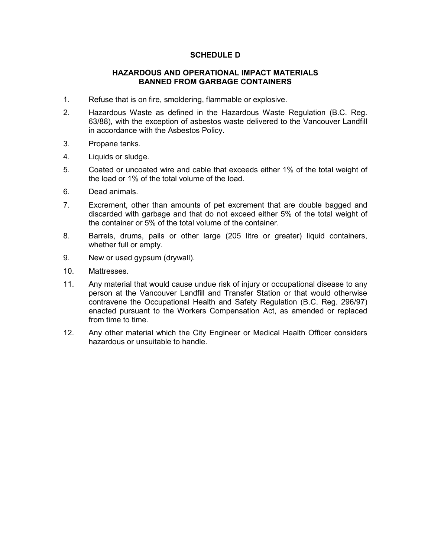### **SCHEDULE D**

#### **HAZARDOUS AND OPERATIONAL IMPACT MATERIALS BANNED FROM GARBAGE CONTAINERS**

- 1. Refuse that is on fire, smoldering, flammable or explosive.
- 2. Hazardous Waste as defined in the Hazardous Waste Regulation (B.C. Reg. 63/88), with the exception of asbestos waste delivered to the Vancouver Landfill in accordance with the Asbestos Policy.
- 3. Propane tanks.
- 4. Liquids or sludge.
- 5. Coated or uncoated wire and cable that exceeds either 1% of the total weight of the load or 1% of the total volume of the load.
- 6. Dead animals.
- 7. Excrement, other than amounts of pet excrement that are double bagged and discarded with garbage and that do not exceed either 5% of the total weight of the container or 5% of the total volume of the container.
- 8. Barrels, drums, pails or other large (205 litre or greater) liquid containers, whether full or empty.
- 9. New or used gypsum (drywall).
- 10. Mattresses.
- 11. Any material that would cause undue risk of injury or occupational disease to any person at the Vancouver Landfill and Transfer Station or that would otherwise contravene the Occupational Health and Safety Regulation (B.C. Reg. 296/97) enacted pursuant to the Workers Compensation Act, as amended or replaced from time to time.
- 12. Any other material which the City Engineer or Medical Health Officer considers hazardous or unsuitable to handle.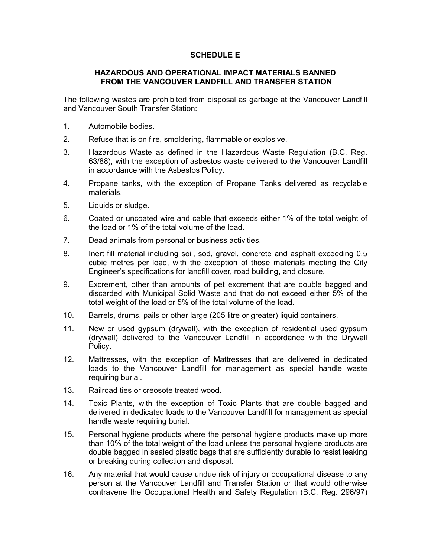## **SCHEDULE E**

#### **HAZARDOUS AND OPERATIONAL IMPACT MATERIALS BANNED FROM THE VANCOUVER LANDFILL AND TRANSFER STATION**

The following wastes are prohibited from disposal as garbage at the Vancouver Landfill and Vancouver South Transfer Station:

- 1. Automobile bodies.
- 2. Refuse that is on fire, smoldering, flammable or explosive.
- 3. Hazardous Waste as defined in the Hazardous Waste Regulation (B.C. Reg. 63/88), with the exception of asbestos waste delivered to the Vancouver Landfill in accordance with the Asbestos Policy.
- 4. Propane tanks, with the exception of Propane Tanks delivered as recyclable materials.
- 5. Liquids or sludge.
- 6. Coated or uncoated wire and cable that exceeds either 1% of the total weight of the load or 1% of the total volume of the load.
- 7. Dead animals from personal or business activities.
- 8. Inert fill material including soil, sod, gravel, concrete and asphalt exceeding 0.5 cubic metres per load, with the exception of those materials meeting the City Engineer's specifications for landfill cover, road building, and closure.
- 9. Excrement, other than amounts of pet excrement that are double bagged and discarded with Municipal Solid Waste and that do not exceed either 5% of the total weight of the load or 5% of the total volume of the load.
- 10. Barrels, drums, pails or other large (205 litre or greater) liquid containers.
- 11. New or used gypsum (drywall), with the exception of residential used gypsum (drywall) delivered to the Vancouver Landfill in accordance with the Drywall Policy.
- 12. Mattresses, with the exception of Mattresses that are delivered in dedicated loads to the Vancouver Landfill for management as special handle waste requiring burial.
- 13. Railroad ties or creosote treated wood.
- 14. Toxic Plants, with the exception of Toxic Plants that are double bagged and delivered in dedicated loads to the Vancouver Landfill for management as special handle waste requiring burial.
- 15. Personal hygiene products where the personal hygiene products make up more than 10% of the total weight of the load unless the personal hygiene products are double bagged in sealed plastic bags that are sufficiently durable to resist leaking or breaking during collection and disposal.
- 16. Any material that would cause undue risk of injury or occupational disease to any person at the Vancouver Landfill and Transfer Station or that would otherwise contravene the Occupational Health and Safety Regulation (B.C. Reg. 296/97)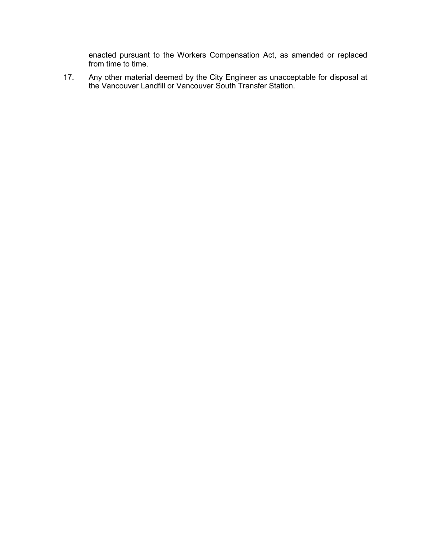enacted pursuant to the Workers Compensation Act, as amended or replaced from time to time.

17. Any other material deemed by the City Engineer as unacceptable for disposal at the Vancouver Landfill or Vancouver South Transfer Station.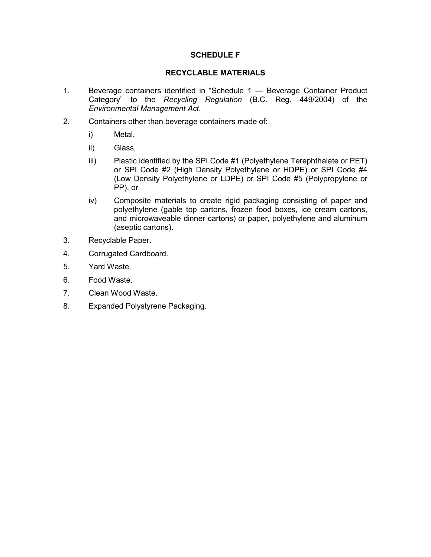# **SCHEDULE F**

#### **RECYCLABLE MATERIALS**

- 1. Beverage containers identified in "Schedule 1 Beverage Container Product Category" to the *Recycling Regulation* (B.C. Reg. 449/2004) of the *Environmental Management Act*.
- 2. Containers other than beverage containers made of:
	- i) Metal,
	- ii) Glass,
	- iii) Plastic identified by the SPI Code #1 (Polyethylene Terephthalate or PET) or SPI Code #2 (High Density Polyethylene or HDPE) or SPI Code #4 (Low Density Polyethylene or LDPE) or SPI Code #5 (Polypropylene or PP), or
	- iv) Composite materials to create rigid packaging consisting of paper and polyethylene (gable top cartons, frozen food boxes, ice cream cartons, and microwaveable dinner cartons) or paper, polyethylene and aluminum (aseptic cartons).
- 3. Recyclable Paper.
- 4. Corrugated Cardboard.
- 5. Yard Waste.
- 6. Food Waste.
- 7. Clean Wood Waste.
- 8. Expanded Polystyrene Packaging.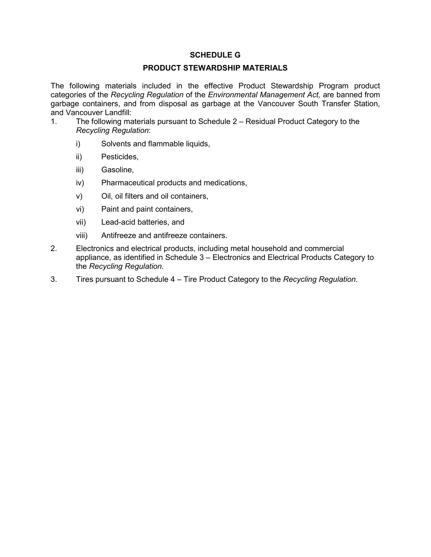# **SCHEDULE G**

## **PRODUCT STEWARDSHIP MATERIALS**

The following materials included in the effective Product Stewardship Program product categories of the *Recycling Regulation* of the *Environmental Management Act,* are banned from garbage containers, and from disposal as garbage at the Vancouver South Transfer Station, and Vancouver Landfill:

- 1. The following materials pursuant to Schedule 2 Residual Product Category to the *Recycling Regulation*:
	- i) Solvents and flammable liquids,
	- ii) Pesticides,
	- iii) Gasoline,
	- iv) Pharmaceutical products and medications,
	- v) Oil, oil filters and oil containers,
	- vi) Paint and paint containers,
	- vii) Lead-acid batteries, and
	- viii) Antifreeze and antifreeze containers.
- 2. Electronics and electrical products, including metal household and commercial appliance, as identified in Schedule 3 – Electronics and Electrical Products Category to the *Recycling Regulation*.
- 3. Tires pursuant to Schedule 4 Tire Product Category to the *Recycling Regulation*.